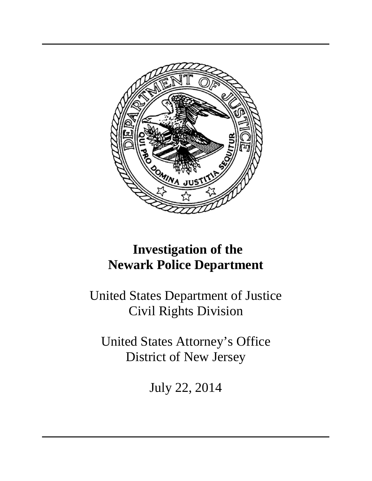

# **Investigation of the Newark Police Department**

United States Department of Justice Civil Rights Division

United States Attorney's Office District of New Jersey

July 22, 2014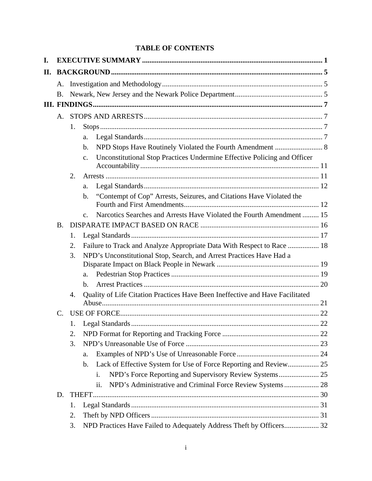## **TABLE OF CONTENTS**

| I. |           |    |                                                                                            |  |  |  |  |
|----|-----------|----|--------------------------------------------------------------------------------------------|--|--|--|--|
| П. |           |    |                                                                                            |  |  |  |  |
|    | A.        |    |                                                                                            |  |  |  |  |
|    | <b>B.</b> |    |                                                                                            |  |  |  |  |
|    |           |    |                                                                                            |  |  |  |  |
|    | A.        |    |                                                                                            |  |  |  |  |
|    |           | 1. |                                                                                            |  |  |  |  |
|    |           |    | a.                                                                                         |  |  |  |  |
|    |           |    | NPD Stops Have Routinely Violated the Fourth Amendment  8<br>$\mathbf b$ .                 |  |  |  |  |
|    |           |    | Unconstitutional Stop Practices Undermine Effective Policing and Officer<br>C <sub>1</sub> |  |  |  |  |
|    |           | 2. |                                                                                            |  |  |  |  |
|    |           |    | a.                                                                                         |  |  |  |  |
|    |           |    | "Contempt of Cop" Arrests, Seizures, and Citations Have Violated the<br>$\mathbf{b}$ .     |  |  |  |  |
|    |           |    | Narcotics Searches and Arrests Have Violated the Fourth Amendment  15<br>$\mathbf{c}$ .    |  |  |  |  |
|    | <b>B.</b> |    |                                                                                            |  |  |  |  |
|    |           | 1. |                                                                                            |  |  |  |  |
|    |           | 2. | Failure to Track and Analyze Appropriate Data With Respect to Race  18                     |  |  |  |  |
|    |           | 3. | NPD's Unconstitutional Stop, Search, and Arrest Practices Have Had a                       |  |  |  |  |
|    |           |    | a.                                                                                         |  |  |  |  |
|    |           |    | $h_{-}$                                                                                    |  |  |  |  |
|    |           | 4. | Quality of Life Citation Practices Have Been Ineffective and Have Facilitated              |  |  |  |  |
|    | C.        |    |                                                                                            |  |  |  |  |
|    |           | 1. |                                                                                            |  |  |  |  |
|    |           | 2. |                                                                                            |  |  |  |  |
|    |           | 3. |                                                                                            |  |  |  |  |
|    |           |    | a.                                                                                         |  |  |  |  |
|    |           |    | Lack of Effective System for Use of Force Reporting and Review 25<br>$\mathbf{b}$ .        |  |  |  |  |
|    |           |    | i.                                                                                         |  |  |  |  |
|    |           |    | ii.                                                                                        |  |  |  |  |
|    | D.        |    |                                                                                            |  |  |  |  |
|    |           | 1. |                                                                                            |  |  |  |  |
|    |           | 2. |                                                                                            |  |  |  |  |
|    |           | 3. | NPD Practices Have Failed to Adequately Address Theft by Officers 32                       |  |  |  |  |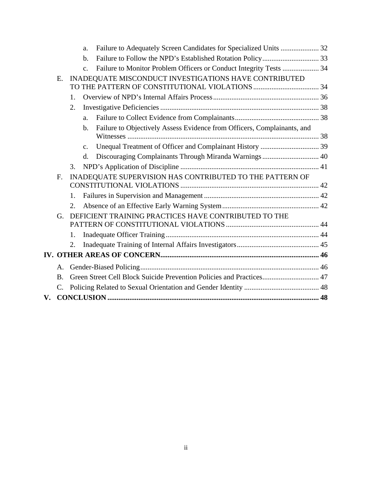|    |                                                                                   |         | Failure to Adequately Screen Candidates for Specialized Units  32<br>a.                  |  |  |
|----|-----------------------------------------------------------------------------------|---------|------------------------------------------------------------------------------------------|--|--|
|    |                                                                                   |         | $b$                                                                                      |  |  |
|    |                                                                                   |         | Failure to Monitor Problem Officers or Conduct Integrity Tests  34<br>$C_{-}$            |  |  |
|    | E.                                                                                |         | INADEQUATE MISCONDUCT INVESTIGATIONS HAVE CONTRIBUTED                                    |  |  |
|    |                                                                                   | 1.      |                                                                                          |  |  |
|    |                                                                                   | 2.      |                                                                                          |  |  |
|    |                                                                                   |         | a <sub>z</sub>                                                                           |  |  |
|    |                                                                                   |         | Failure to Objectively Assess Evidence from Officers, Complainants, and<br>$\mathbf b$ . |  |  |
|    |                                                                                   |         | $C_{\bullet}$                                                                            |  |  |
|    |                                                                                   |         | Discouraging Complainants Through Miranda Warnings 40<br>$\rm d$ .                       |  |  |
|    |                                                                                   | 3.      |                                                                                          |  |  |
|    | INADEQUATE SUPERVISION HAS CONTRIBUTED TO THE PATTERN OF                          |         |                                                                                          |  |  |
|    |                                                                                   | 1.      |                                                                                          |  |  |
|    |                                                                                   | 2.      |                                                                                          |  |  |
|    | G.                                                                                |         | DEFICIENT TRAINING PRACTICES HAVE CONTRIBUTED TO THE                                     |  |  |
|    |                                                                                   | $1_{-}$ |                                                                                          |  |  |
|    |                                                                                   | 2.      |                                                                                          |  |  |
|    |                                                                                   |         |                                                                                          |  |  |
|    | A.                                                                                |         |                                                                                          |  |  |
|    | Green Street Cell Block Suicide Prevention Policies and Practices 47<br><b>B.</b> |         |                                                                                          |  |  |
|    | $\mathcal{C}$ .                                                                   |         |                                                                                          |  |  |
| V. |                                                                                   |         |                                                                                          |  |  |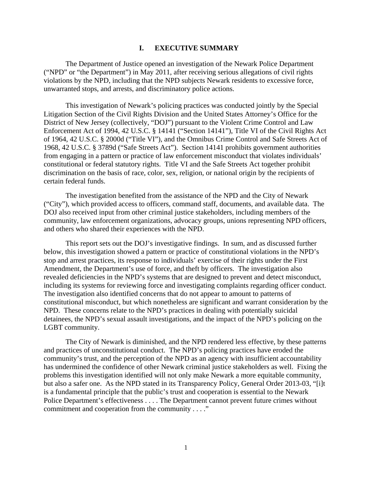#### **I. EXECUTIVE SUMMARY**

<span id="page-3-0"></span>The Department of Justice opened an investigation of the Newark Police Department ("NPD" or "the Department") in May 2011, after receiving serious allegations of civil rights violations by the NPD, including that the NPD subjects Newark residents to excessive force, unwarranted stops, and arrests, and discriminatory police actions.

This investigation of Newark's policing practices was conducted jointly by the Special Litigation Section of the Civil Rights Division and the United States Attorney's Office for the District of New Jersey (collectively, "DOJ") pursuant to the Violent Crime Control and Law Enforcement Act of 1994, 42 U.S.C. § 14141 ("Section 14141"), Title VI of the Civil Rights Act of 1964, 42 U.S.C. § 2000d ("Title VI"), and the Omnibus Crime Control and Safe Streets Act of 1968, 42 U.S.C. § 3789d ("Safe Streets Act"). Section 14141 prohibits government authorities from engaging in a pattern or practice of law enforcement misconduct that violates individuals' constitutional or federal statutory rights. Title VI and the Safe Streets Act together prohibit discrimination on the basis of race, color, sex, religion, or national origin by the recipients of certain federal funds.

The investigation benefited from the assistance of the NPD and the City of Newark ("City"), which provided access to officers, command staff, documents, and available data. The DOJ also received input from other criminal justice stakeholders, including members of the community, law enforcement organizations, advocacy groups, unions representing NPD officers, and others who shared their experiences with the NPD.

This report sets out the DOJ's investigative findings. In sum, and as discussed further below, this investigation showed a pattern or practice of constitutional violations in the NPD's stop and arrest practices, its response to individuals' exercise of their rights under the First Amendment, the Department's use of force, and theft by officers. The investigation also revealed deficiencies in the NPD's systems that are designed to prevent and detect misconduct, including its systems for reviewing force and investigating complaints regarding officer conduct. The investigation also identified concerns that do not appear to amount to patterns of constitutional misconduct, but which nonetheless are significant and warrant consideration by the NPD. These concerns relate to the NPD's practices in dealing with potentially suicidal detainees, the NPD's sexual assault investigations, and the impact of the NPD's policing on the LGBT community.

The City of Newark is diminished, and the NPD rendered less effective, by these patterns and practices of unconstitutional conduct. The NPD's policing practices have eroded the community's trust, and the perception of the NPD as an agency with insufficient accountability has undermined the confidence of other Newark criminal justice stakeholders as well. Fixing the problems this investigation identified will not only make Newark a more equitable community, but also a safer one. As the NPD stated in its Transparency Policy, General Order 2013-03, "[i]t is a fundamental principle that the public's trust and cooperation is essential to the Newark Police Department's effectiveness . . . . The Department cannot prevent future crimes without commitment and cooperation from the community . . . ."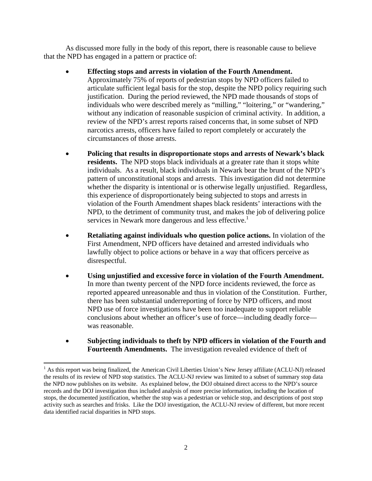As discussed more fully in the body of this report, there is reasonable cause to believe that the NPD has engaged in a pattern or practice of:

- **Effecting stops and arrests in violation of the Fourth Amendment.**  Approximately 75% of reports of pedestrian stops by NPD officers failed to articulate sufficient legal basis for the stop, despite the NPD policy requiring such justification. During the period reviewed, the NPD made thousands of stops of individuals who were described merely as "milling," "loitering," or "wandering," without any indication of reasonable suspicion of criminal activity. In addition, a review of the NPD's arrest reports raised concerns that, in some subset of NPD narcotics arrests, officers have failed to report completely or accurately the circumstances of those arrests.
- services in Newark more dangerous and less effective.<sup>1</sup> **Policing that results in disproportionate stops and arrests of Newark's black residents.** The NPD stops black individuals at a greater rate than it stops white individuals. As a result, black individuals in Newark bear the brunt of the NPD's pattern of unconstitutional stops and arrests. This investigation did not determine whether the disparity is intentional or is otherwise legally unjustified. Regardless, this experience of disproportionately being subjected to stops and arrests in violation of the Fourth Amendment shapes black residents' interactions with the NPD, to the detriment of community trust, and makes the job of delivering police
- **Retaliating against individuals who question police actions.** In violation of the First Amendment, NPD officers have detained and arrested individuals who lawfully object to police actions or behave in a way that officers perceive as disrespectful.
- **Using unjustified and excessive force in violation of the Fourth Amendment.** In more than twenty percent of the NPD force incidents reviewed, the force as reported appeared unreasonable and thus in violation of the Constitution. Further, there has been substantial underreporting of force by NPD officers, and most NPD use of force investigations have been too inadequate to support reliable conclusions about whether an officer's use of force—including deadly force was reasonable.
- **Subjecting individuals to theft by NPD officers in violation of the Fourth and Fourteenth Amendments.** The investigation revealed evidence of theft of

 the results of its review of NPD stop statistics. The ACLU-NJ review was limited to a subset of summary stop data stops, the documented justification, whether the stop was a pedestrian or vehicle stop, and descriptions of post stop <sup>1</sup> As this report was being finalized, the American Civil Liberties Union's New Jersey affiliate (ACLU-NJ) released the NPD now publishes on its website. As explained below, the DOJ obtained direct access to the NPD's source records and the DOJ investigation thus included analysis of more precise information, including the location of activity such as searches and frisks. Like the DOJ investigation, the ACLU-NJ review of different, but more recent data identified racial disparities in NPD stops.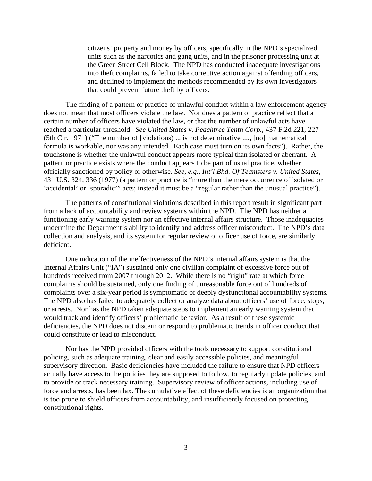citizens' property and money by officers, specifically in the NPD's specialized units such as the narcotics and gang units, and in the prisoner processing unit at the Green Street Cell Block. The NPD has conducted inadequate investigations into theft complaints, failed to take corrective action against offending officers, and declined to implement the methods recommended by its own investigators that could prevent future theft by officers.

The finding of a pattern or practice of unlawful conduct within a law enforcement agency does not mean that most officers violate the law. Nor does a pattern or practice reflect that a certain number of officers have violated the law, or that the number of unlawful acts have reached a particular threshold. *See United States v. Peachtree Tenth Corp.,* 437 F.2d 221, 227 (5th Cir. 1971) ("The number of [violations) ... is not determinative ...., [no] mathematical formula is workable, nor was any intended. Each case must turn on its own facts"). Rather, the touchstone is whether the unlawful conduct appears more typical than isolated or aberrant. A pattern or practice exists where the conduct appears to be part of usual practice, whether officially sanctioned by policy or otherwise. *See, e.g., Int'l Bhd. Of Teamsters v. United States,*  431 U.S. 324, 336 (1977) (a pattern or practice is "more than the mere occurrence of isolated or 'accidental' or 'sporadic'" acts; instead it must be a "regular rather than the unusual practice").

The patterns of constitutional violations described in this report result in significant part from a lack of accountability and review systems within the NPD. The NPD has neither a functioning early warning system nor an effective internal affairs structure. Those inadequacies undermine the Department's ability to identify and address officer misconduct. The NPD's data collection and analysis, and its system for regular review of officer use of force, are similarly deficient.

One indication of the ineffectiveness of the NPD's internal affairs system is that the Internal Affairs Unit ("IA") sustained only one civilian complaint of excessive force out of hundreds received from 2007 through 2012. While there is no "right" rate at which force complaints should be sustained, only one finding of unreasonable force out of hundreds of complaints over a six-year period is symptomatic of deeply dysfunctional accountability systems. The NPD also has failed to adequately collect or analyze data about officers' use of force, stops, or arrests. Nor has the NPD taken adequate steps to implement an early warning system that would track and identify officers' problematic behavior. As a result of these systemic deficiencies, the NPD does not discern or respond to problematic trends in officer conduct that could constitute or lead to misconduct.

Nor has the NPD provided officers with the tools necessary to support constitutional policing, such as adequate training, clear and easily accessible policies, and meaningful supervisory direction. Basic deficiencies have included the failure to ensure that NPD officers actually have access to the policies they are supposed to follow, to regularly update policies, and to provide or track necessary training. Supervisory review of officer actions, including use of force and arrests, has been lax. The cumulative effect of these deficiencies is an organization that is too prone to shield officers from accountability, and insufficiently focused on protecting constitutional rights.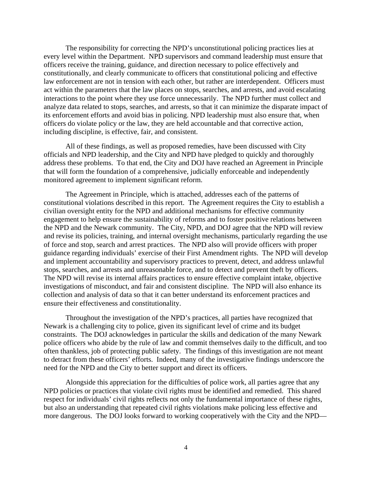The responsibility for correcting the NPD's unconstitutional policing practices lies at every level within the Department. NPD supervisors and command leadership must ensure that officers receive the training, guidance, and direction necessary to police effectively and constitutionally, and clearly communicate to officers that constitutional policing and effective law enforcement are not in tension with each other, but rather are interdependent. Officers must act within the parameters that the law places on stops, searches, and arrests, and avoid escalating interactions to the point where they use force unnecessarily. The NPD further must collect and analyze data related to stops, searches, and arrests, so that it can minimize the disparate impact of its enforcement efforts and avoid bias in policing. NPD leadership must also ensure that, when officers do violate policy or the law, they are held accountable and that corrective action, including discipline, is effective, fair, and consistent.

All of these findings, as well as proposed remedies, have been discussed with City officials and NPD leadership, and the City and NPD have pledged to quickly and thoroughly address these problems. To that end, the City and DOJ have reached an Agreement in Principle that will form the foundation of a comprehensive, judicially enforceable and independently monitored agreement to implement significant reform.

The Agreement in Principle, which is attached, addresses each of the patterns of constitutional violations described in this report. The Agreement requires the City to establish a civilian oversight entity for the NPD and additional mechanisms for effective community engagement to help ensure the sustainability of reforms and to foster positive relations between the NPD and the Newark community. The City, NPD, and DOJ agree that the NPD will review and revise its policies, training, and internal oversight mechanisms, particularly regarding the use of force and stop, search and arrest practices. The NPD also will provide officers with proper guidance regarding individuals' exercise of their First Amendment rights. The NPD will develop and implement accountability and supervisory practices to prevent, detect, and address unlawful stops, searches, and arrests and unreasonable force, and to detect and prevent theft by officers. The NPD will revise its internal affairs practices to ensure effective complaint intake, objective investigations of misconduct, and fair and consistent discipline. The NPD will also enhance its collection and analysis of data so that it can better understand its enforcement practices and ensure their effectiveness and constitutionality.

Throughout the investigation of the NPD's practices, all parties have recognized that Newark is a challenging city to police, given its significant level of crime and its budget constraints. The DOJ acknowledges in particular the skills and dedication of the many Newark police officers who abide by the rule of law and commit themselves daily to the difficult, and too often thankless, job of protecting public safety. The findings of this investigation are not meant to detract from these officers' efforts. Indeed, many of the investigative findings underscore the need for the NPD and the City to better support and direct its officers.

Alongside this appreciation for the difficulties of police work, all parties agree that any NPD policies or practices that violate civil rights must be identified and remedied. This shared respect for individuals' civil rights reflects not only the fundamental importance of these rights, but also an understanding that repeated civil rights violations make policing less effective and more dangerous. The DOJ looks forward to working cooperatively with the City and the NPD—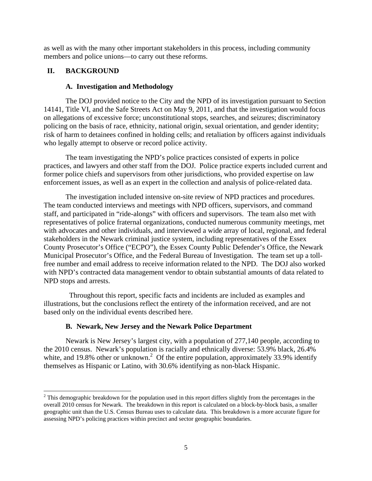<span id="page-7-0"></span>as well as with the many other important stakeholders in this process, including community members and police unions—to carry out these reforms.

## **II. BACKGROUND**

## **A. Investigation and Methodology**

The DOJ provided notice to the City and the NPD of its investigation pursuant to Section 14141, Title VI, and the Safe Streets Act on May 9, 2011, and that the investigation would focus on allegations of excessive force; unconstitutional stops, searches, and seizures; discriminatory policing on the basis of race, ethnicity, national origin, sexual orientation, and gender identity; risk of harm to detainees confined in holding cells; and retaliation by officers against individuals who legally attempt to observe or record police activity.

The team investigating the NPD's police practices consisted of experts in police practices, and lawyers and other staff from the DOJ. Police practice experts included current and former police chiefs and supervisors from other jurisdictions, who provided expertise on law enforcement issues, as well as an expert in the collection and analysis of police-related data.

The investigation included intensive on-site review of NPD practices and procedures. The team conducted interviews and meetings with NPD officers, supervisors, and command staff, and participated in "ride-alongs" with officers and supervisors. The team also met with representatives of police fraternal organizations, conducted numerous community meetings, met with advocates and other individuals, and interviewed a wide array of local, regional, and federal stakeholders in the Newark criminal justice system, including representatives of the Essex County Prosecutor's Office ("ECPO"), the Essex County Public Defender's Office, the Newark Municipal Prosecutor's Office, and the Federal Bureau of Investigation. The team set up a tollfree number and email address to receive information related to the NPD. The DOJ also worked with NPD's contracted data management vendor to obtain substantial amounts of data related to NPD stops and arrests.

 Throughout this report, specific facts and incidents are included as examples and illustrations, but the conclusions reflect the entirety of the information received, and are not based only on the individual events described here.

## **B. Newark, New Jersey and the Newark Police Department**

Newark is New Jersey's largest city, with a population of 277,140 people, according to the 2010 census. Newark's population is racially and ethnically diverse: 53.9% black, 26.4% white, and 19.8% other or unknown.<sup>2</sup> Of the entire population, approximately 33.9% identify themselves as Hispanic or Latino, with 30.6% identifying as non-black Hispanic.

 assessing NPD's policing practices within precinct and sector geographic boundaries.  $2^2$  This demographic breakdown for the population used in this report differs slightly from the percentages in the overall 2010 census for Newark. The breakdown in this report is calculated on a block-by-block basis, a smaller geographic unit than the U.S. Census Bureau uses to calculate data. This breakdown is a more accurate figure for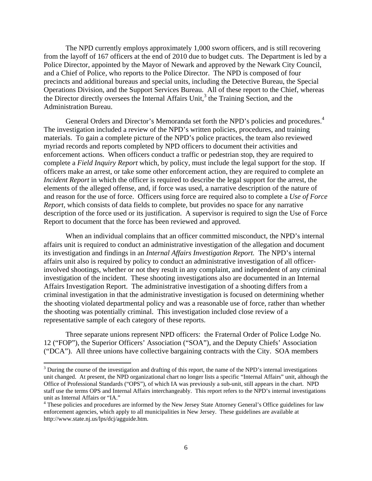The NPD currently employs approximately 1,000 sworn officers, and is still recovering from the layoff of 167 officers at the end of 2010 due to budget cuts. The Department is led by a Police Director, appointed by the Mayor of Newark and approved by the Newark City Council, and a Chief of Police, who reports to the Police Director. The NPD is composed of four precincts and additional bureaus and special units, including the Detective Bureau, the Special Operations Division, and the Support Services Bureau. All of these report to the Chief, whereas the Director directly oversees the Internal Affairs Unit,<sup>3</sup> the Training Section, and the Administration Bureau.

General Orders and Director's Memoranda set forth the NPD's policies and procedures.<sup>4</sup> The investigation included a review of the NPD's written policies, procedures, and training materials. To gain a complete picture of the NPD's police practices, the team also reviewed myriad records and reports completed by NPD officers to document their activities and enforcement actions. When officers conduct a traffic or pedestrian stop, they are required to complete a *Field Inquiry Report* which, by policy, must include the legal support for the stop. If officers make an arrest, or take some other enforcement action, they are required to complete an *Incident Report* in which the officer is required to describe the legal support for the arrest, the elements of the alleged offense, and, if force was used, a narrative description of the nature of and reason for the use of force. Officers using force are required also to complete a *Use of Force Report,* which consists of data fields to complete, but provides no space for any narrative description of the force used or its justification. A supervisor is required to sign the Use of Force Report to document that the force has been reviewed and approved.

When an individual complains that an officer committed misconduct, the NPD's internal affairs unit is required to conduct an administrative investigation of the allegation and document its investigation and findings in an *Internal Affairs Investigation Report.* The NPD's internal affairs unit also is required by policy to conduct an administrative investigation of all officerinvolved shootings, whether or not they result in any complaint, and independent of any criminal investigation of the incident. These shooting investigations also are documented in an Internal Affairs Investigation Report. The administrative investigation of a shooting differs from a criminal investigation in that the administrative investigation is focused on determining whether the shooting violated departmental policy and was a reasonable use of force, rather than whether the shooting was potentially criminal. This investigation included close review of a representative sample of each category of these reports.

Three separate unions represent NPD officers: the Fraternal Order of Police Lodge No. 12 ("FOP"), the Superior Officers' Association ("SOA"), and the Deputy Chiefs' Association ("DCA"). All three unions have collective bargaining contracts with the City. SOA members

 unit changed. At present, the NPD organizational chart no longer lists a specific "Internal Affairs" unit, although the Office of Professional Standards ("OPS"), of which IA was previously a sub-unit, still appears in the chart. NPD  $3$  During the course of the investigation and drafting of this report, the name of the NPD's internal investigations staff use the terms OPS and Internal Affairs interchangeably. This report refers to the NPD's internal investigations unit as Internal Affairs or "IA."

<sup>&</sup>lt;sup>4</sup> These policies and procedures are informed by the New Jersey State Attorney General's Office guidelines for law enforcement agencies, which apply to all municipalities in New Jersey. These guidelines are available at http://www.state.nj.us/lps/dcj/agguide.htm.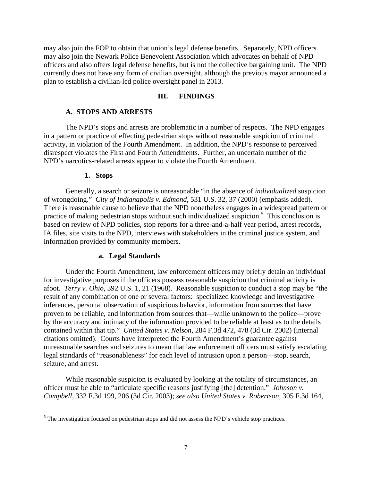<span id="page-9-0"></span>may also join the FOP to obtain that union's legal defense benefits. Separately, NPD officers may also join the Newark Police Benevolent Association which advocates on behalf of NPD officers and also offers legal defense benefits, but is not the collective bargaining unit. The NPD currently does not have any form of civilian oversight, although the previous mayor announced a plan to establish a civilian-led police oversight panel in 2013.

#### **III. FINDINGS**

#### **A. STOPS AND ARRESTS**

The NPD's stops and arrests are problematic in a number of respects. The NPD engages in a pattern or practice of effecting pedestrian stops without reasonable suspicion of criminal activity, in violation of the Fourth Amendment. In addition, the NPD's response to perceived disrespect violates the First and Fourth Amendments. Further, an uncertain number of the NPD's narcotics-related arrests appear to violate the Fourth Amendment.

#### **1. Stops**

Generally, a search or seizure is unreasonable "in the absence of *individualized* suspicion of wrongdoing." *City of Indianapolis v. Edmond*, 531 U.S. 32, 37 (2000) (emphasis added). There is reasonable cause to believe that the NPD nonetheless engages in a widespread pattern or practice of making pedestrian stops without such individualized suspicion.<sup>5</sup> This conclusion is based on review of NPD policies, stop reports for a three-and-a-half year period, arrest records, IA files, site visits to the NPD, interviews with stakeholders in the criminal justice system, and information provided by community members.

#### **a. Legal Standards**

Under the Fourth Amendment, law enforcement officers may briefly detain an individual for investigative purposes if the officers possess reasonable suspicion that criminal activity is afoot. *Terry v. Ohio*, 392 U.S. 1, 21 (1968). Reasonable suspicion to conduct a stop may be "the result of any combination of one or several factors: specialized knowledge and investigative inferences, personal observation of suspicious behavior, information from sources that have proven to be reliable, and information from sources that—while unknown to the police—prove by the accuracy and intimacy of the information provided to be reliable at least as to the details contained within that tip." *United States v. Nelson*, 284 F.3d 472, 478 (3d Cir. 2002) (internal citations omitted). Courts have interpreted the Fourth Amendment's guarantee against unreasonable searches and seizures to mean that law enforcement officers must satisfy escalating legal standards of "reasonableness" for each level of intrusion upon a person—stop, search, seizure, and arrest.

While reasonable suspicion is evaluated by looking at the totality of circumstances, an officer must be able to "articulate specific reasons justifying [the] detention." *Johnson v. Campbell*, 332 F.3d 199, 206 (3d Cir. 2003); *see also United States v. Robertson*, 305 F.3d 164,

 $<sup>5</sup>$  The investigation focused on pedestrian stops and did not assess the NPD's vehicle stop practices.</sup>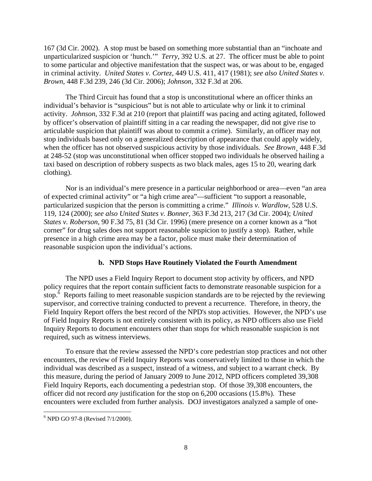<span id="page-10-0"></span>167 (3d Cir. 2002). A stop must be based on something more substantial than an "inchoate and unparticularized suspicion or 'hunch.'" *Terry*, 392 U.S. at 27. The officer must be able to point to some particular and objective manifestation that the suspect was, or was about to be, engaged in criminal activity. *United States v. Cortez*, 449 U.S. 411, 417 (1981); *see also United States v. Brown*, 448 F.3d 239, 246 (3d Cir. 2006); *Johnson*, 332 F.3d at 206.

The Third Circuit has found that a stop is unconstitutional where an officer thinks an individual's behavior is "suspicious" but is not able to articulate why or link it to criminal activity. *Johnson*, 332 F.3d at 210 (report that plaintiff was pacing and acting agitated, followed by officer's observation of plaintiff sitting in a car reading the newspaper, did not give rise to articulable suspicion that plaintiff was about to commit a crime). Similarly, an officer may not stop individuals based only on a generalized description of appearance that could apply widely, when the officer has not observed suspicious activity by those individuals. *See Brown* 448 F.3d at 248-52 (stop was unconstitutional when officer stopped two individuals he observed hailing a taxi based on description of robbery suspects as two black males, ages 15 to 20, wearing dark clothing).

Nor is an individual's mere presence in a particular neighborhood or area—even "an area of expected criminal activity" or "a high crime area"—sufficient "to support a reasonable, particularized suspicion that the person is committing a crime." *Illinois v. Wardlow*, 528 U.S. 119, 124 (2000); *see also United States v. Bonner*, 363 F.3d 213, 217 (3d Cir. 2004); *United States v. Roberson*, 90 F.3d 75, 81 (3d Cir. 1996) (mere presence on a corner known as a "hot corner" for drug sales does not support reasonable suspicion to justify a stop). Rather, while presence in a high crime area may be a factor, police must make their determination of reasonable suspicion upon the individual's actions.

#### **b. NPD Stops Have Routinely Violated the Fourth Amendment**

The NPD uses a Field Inquiry Report to document stop activity by officers, and NPD policy requires that the report contain sufficient facts to demonstrate reasonable suspicion for a stop.<sup> $\delta$ </sup> Reports failing to meet reasonable suspicion standards are to be rejected by the reviewing supervisor, and corrective training conducted to prevent a recurrence. Therefore, in theory, the Field Inquiry Report offers the best record of the NPD's stop activities. However, the NPD's use of Field Inquiry Reports is not entirely consistent with its policy, as NPD officers also use Field Inquiry Reports to document encounters other than stops for which reasonable suspicion is not required, such as witness interviews.

To ensure that the review assessed the NPD's core pedestrian stop practices and not other encounters, the review of Field Inquiry Reports was conservatively limited to those in which the individual was described as a suspect, instead of a witness, and subject to a warrant check. By this measure, during the period of January 2009 to June 2012, NPD officers completed 39,308 Field Inquiry Reports, each documenting a pedestrian stop. Of those 39,308 encounters, the officer did not record *any* justification for the stop on 6,200 occasions (15.8%). These encounters were excluded from further analysis. DOJ investigators analyzed a sample of one-

  $6$  NPD GO 97-8 (Revised  $7/1/2000$ ).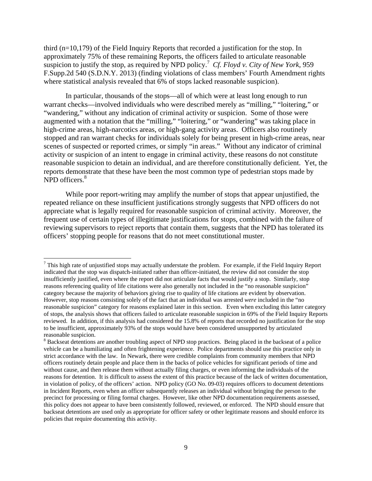third (n=10,179) of the Field Inquiry Reports that recorded a justification for the stop. In approximately 75% of these remaining Reports, the officers failed to articulate reasonable suspicion to justify the stop, as required by NPD policy.<sup>7</sup> Cf. Floyd v. City of New York, 959 F.Supp.2d 540 (S.D.N.Y. 2013) (finding violations of class members' Fourth Amendment rights where statistical analysis revealed that 6% of stops lacked reasonable suspicion).

NPD officers.<sup>8</sup> In particular, thousands of the stops—all of which were at least long enough to run warrant checks—involved individuals who were described merely as "milling," "loitering," or "wandering," without any indication of criminal activity or suspicion. Some of those were augmented with a notation that the "milling," "loitering," or "wandering" was taking place in high-crime areas, high-narcotics areas, or high-gang activity areas. Officers also routinely stopped and ran warrant checks for individuals solely for being present in high-crime areas, near scenes of suspected or reported crimes, or simply "in areas." Without any indicator of criminal activity or suspicion of an intent to engage in criminal activity, these reasons do not constitute reasonable suspicion to detain an individual, and are therefore constitutionally deficient. Yet, the reports demonstrate that these have been the most common type of pedestrian stops made by

While poor report-writing may amplify the number of stops that appear unjustified, the repeated reliance on these insufficient justifications strongly suggests that NPD officers do not appreciate what is legally required for reasonable suspicion of criminal activity. Moreover, the frequent use of certain types of illegitimate justifications for stops, combined with the failure of reviewing supervisors to reject reports that contain them, suggests that the NPD has tolerated its officers' stopping people for reasons that do not meet constitutional muster.

 $<sup>7</sup>$  This high rate of unjustified stops may actually understate the problem. For example, if the Field Inquiry Report</sup> reasons referencing quality of life citations were also generally not included in the "no reasonable suspicion" indicated that the stop was dispatch-initiated rather than officer-initiated, the review did not consider the stop insufficiently justified, even where the report did not articulate facts that would justify a stop. Similarly, stop category because the majority of behaviors giving rise to quality of life citations are evident by observation. However, stop reasons consisting solely of the fact that an individual was arrested *were* included in the "no reasonable suspicion" category for reasons explained later in this section. Even when excluding this latter category of stops, the analysis shows that officers failed to articulate reasonable suspicion in 69% of the Field Inquiry Reports reviewed. In addition, if this analysis had considered the 15.8% of reports that recorded no justification for the stop to be insufficient, approximately 93% of the stops would have been considered unsupported by articulated reasonable suspicion.

 in violation of policy, of the officers' action. NPD policy (GO No. 09-03) requires officers to document detentions in Incident Reports, even when an officer subsequently releases an individual without bringing the person to the <sup>8</sup> Backseat detentions are another troubling aspect of NPD stop practices. Being placed in the backseat of a police vehicle can be a humiliating and often frightening experience. Police departments should use this practice only in strict accordance with the law. In Newark, there were credible complaints from community members that NPD officers routinely detain people and place them in the backs of police vehicles for significant periods of time and without cause, and then release them without actually filing charges, or even informing the individuals of the reasons for detention. It is difficult to assess the extent of this practice because of the lack of written documentation, precinct for processing or filing formal charges. However, like other NPD documentation requirements assessed, this policy does not appear to have been consistently followed, reviewed, or enforced. The NPD should ensure that backseat detentions are used only as appropriate for officer safety or other legitimate reasons and should enforce its policies that require documenting this activity.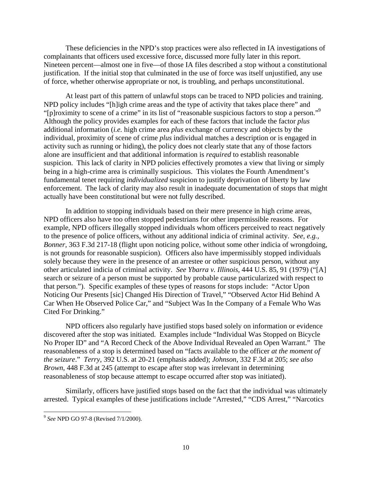These deficiencies in the NPD's stop practices were also reflected in IA investigations of complainants that officers used excessive force, discussed more fully later in this report. Nineteen percent—almost one in five—of those IA files described a stop without a constitutional justification. If the initial stop that culminated in the use of force was itself unjustified, any use of force, whether otherwise appropriate or not, is troubling, and perhaps unconstitutional.

"[p]roximity to scene of a crime" in its list of "reasonable suspicious factors to stop a person."<sup>9</sup> At least part of this pattern of unlawful stops can be traced to NPD policies and training. NPD policy includes "[h]igh crime areas and the type of activity that takes place there" and Although the policy provides examples for each of these factors that include the factor *plus*  additional information (*i.e.* high crime area *plus* exchange of currency and objects by the individual, proximity of scene of crime *plus* individual matches a description or is engaged in activity such as running or hiding), the policy does not clearly state that any of those factors alone are insufficient and that additional information is *required* to establish reasonable suspicion. This lack of clarity in NPD policies effectively promotes a view that living or simply being in a high-crime area is criminally suspicious. This violates the Fourth Amendment's fundamental tenet requiring *individualized* suspicion to justify deprivation of liberty by law enforcement. The lack of clarity may also result in inadequate documentation of stops that might actually have been constitutional but were not fully described.

In addition to stopping individuals based on their mere presence in high crime areas, NPD officers also have too often stopped pedestrians for other impermissible reasons. For example, NPD officers illegally stopped individuals whom officers perceived to react negatively to the presence of police officers, without any additional indicia of criminal activity. *See, e.g., Bonner*, 363 F.3d 217-18 (flight upon noticing police, without some other indicia of wrongdoing, is not grounds for reasonable suspicion). Officers also have impermissibly stopped individuals solely because they were in the presence of an arrestee or other suspicious person, without any other articulated indicia of criminal activity. *See Ybarra v. Illinois*, 444 U.S. 85, 91 (1979) ("[A] search or seizure of a person must be supported by probable cause particularized with respect to that person."). Specific examples of these types of reasons for stops include: "Actor Upon Noticing Our Presents [sic] Changed His Direction of Travel," "Observed Actor Hid Behind A Car When He Observed Police Car," and "Subject Was In the Company of a Female Who Was Cited For Drinking."

NPD officers also regularly have justified stops based solely on information or evidence discovered after the stop was initiated. Examples include "Individual Was Stopped on Bicycle No Proper ID" and "A Record Check of the Above Individual Revealed an Open Warrant." The reasonableness of a stop is determined based on "facts available to the officer *at the moment of the seizure*." *Terry*, 392 U.S. at 20-21 (emphasis added); *Johnson*, 332 F.3d at 205; *see also Brown*, 448 F.3d at 245 (attempt to escape after stop was irrelevant in determining reasonableness of stop because attempt to escape occurred after stop was initiated).

Similarly, officers have justified stops based on the fact that the individual was ultimately arrested. Typical examples of these justifications include "Arrested," "CDS Arrest," "Narcotics

 <sup>9</sup>*See* NPD GO 97-8 (Revised 7/1/2000).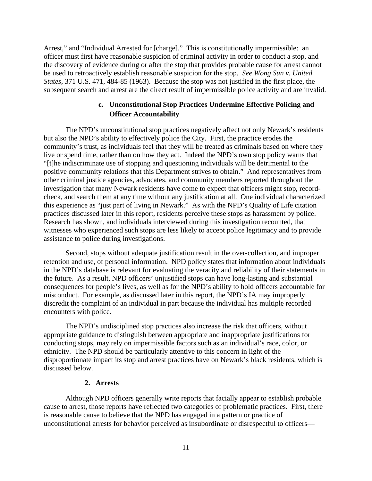<span id="page-13-0"></span>Arrest," and "Individual Arrested for [charge]." This is constitutionally impermissible: an officer must first have reasonable suspicion of criminal activity in order to conduct a stop, and the discovery of evidence during or after the stop that provides probable cause for arrest cannot be used to retroactively establish reasonable suspicion for the stop. *See Wong Sun v. United States*, 371 U.S. 471, 484-85 (1963). Because the stop was not justified in the first place, the subsequent search and arrest are the direct result of impermissible police activity and are invalid.

## **c. Unconstitutional Stop Practices Undermine Effective Policing and Officer Accountability**

The NPD's unconstitutional stop practices negatively affect not only Newark's residents but also the NPD's ability to effectively police the City. First, the practice erodes the community's trust, as individuals feel that they will be treated as criminals based on where they live or spend time, rather than on how they act. Indeed the NPD's own stop policy warns that "[t]he indiscriminate use of stopping and questioning individuals will be detrimental to the positive community relations that this Department strives to obtain." And representatives from other criminal justice agencies, advocates, and community members reported throughout the investigation that many Newark residents have come to expect that officers might stop, recordcheck, and search them at any time without any justification at all. One individual characterized this experience as "just part of living in Newark." As with the NPD's Quality of Life citation practices discussed later in this report, residents perceive these stops as harassment by police. Research has shown, and individuals interviewed during this investigation recounted, that witnesses who experienced such stops are less likely to accept police legitimacy and to provide assistance to police during investigations.

Second, stops without adequate justification result in the over-collection, and improper retention and use, of personal information. NPD policy states that information about individuals in the NPD's database is relevant for evaluating the veracity and reliability of their statements in the future. As a result, NPD officers' unjustified stops can have long-lasting and substantial consequences for people's lives, as well as for the NPD's ability to hold officers accountable for misconduct. For example, as discussed later in this report, the NPD's IA may improperly discredit the complaint of an individual in part because the individual has multiple recorded encounters with police.

The NPD's undisciplined stop practices also increase the risk that officers, without appropriate guidance to distinguish between appropriate and inappropriate justifications for conducting stops, may rely on impermissible factors such as an individual's race, color, or ethnicity. The NPD should be particularly attentive to this concern in light of the disproportionate impact its stop and arrest practices have on Newark's black residents, which is discussed below.

### **2. Arrests**

Although NPD officers generally write reports that facially appear to establish probable cause to arrest, those reports have reflected two categories of problematic practices. First, there is reasonable cause to believe that the NPD has engaged in a pattern or practice of unconstitutional arrests for behavior perceived as insubordinate or disrespectful to officers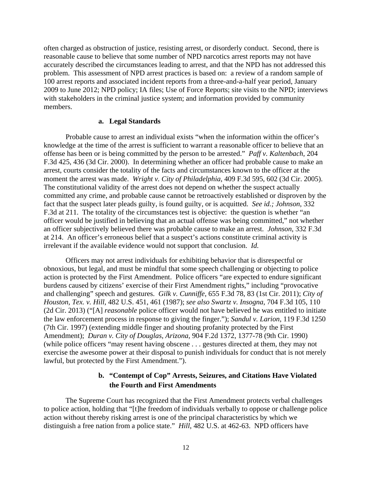<span id="page-14-0"></span>often charged as obstruction of justice, resisting arrest, or disorderly conduct. Second, there is reasonable cause to believe that some number of NPD narcotics arrest reports may not have accurately described the circumstances leading to arrest, and that the NPD has not addressed this problem. This assessment of NPD arrest practices is based on: a review of a random sample of 100 arrest reports and associated incident reports from a three-and-a-half year period, January 2009 to June 2012; NPD policy; IA files; Use of Force Reports; site visits to the NPD; interviews with stakeholders in the criminal justice system; and information provided by community members.

#### **a. Legal Standards**

 offense has been or is being committed by the person to be arrested." *Paff v. Kaltenbach*, 204 Probable cause to arrest an individual exists "when the information within the officer's knowledge at the time of the arrest is sufficient to warrant a reasonable officer to believe that an F.3d 425, 436 (3d Cir. 2000). In determining whether an officer had probable cause to make an arrest, courts consider the totality of the facts and circumstances known to the officer at the moment the arrest was made. *Wright v. City of Philadelphia*, 409 F.3d 595, 602 (3d Cir. 2005). The constitutional validity of the arrest does not depend on whether the suspect actually committed any crime, and probable cause cannot be retroactively established or disproven by the fact that the suspect later pleads guilty, is found guilty, or is acquitted. *See id.; Johnson*, 332 F.3d at 211. The totality of the circumstances test is objective: the question is whether "an officer would be justified in believing that an actual offense was being committed," not whether an officer subjectively believed there was probable cause to make an arrest. *Johnson*, 332 F.3d at 214. An officer's erroneous belief that a suspect's actions constitute criminal activity is irrelevant if the available evidence would not support that conclusion. *Id.* 

Officers may not arrest individuals for exhibiting behavior that is disrespectful or obnoxious, but legal, and must be mindful that some speech challenging or objecting to police action is protected by the First Amendment. Police officers "are expected to endure significant burdens caused by citizens' exercise of their First Amendment rights," including "provocative and challenging" speech and gestures. *Gilk v. Cunniffe*, 655 F.3d 78, 83 (1st Cir. 2011); *City of Houston, Tex. v. Hill*, 482 U.S. 451, 461 (1987); *see also Swartz v. Insogna*, 704 F.3d 105, 110 (2d Cir. 2013) ("[A] *reasonable* police officer would not have believed he was entitled to initiate the law enforcement process in response to giving the finger."); *Sandul v. Larion*, 119 F.3d 1250 (7th Cir. 1997) (extending middle finger and shouting profanity protected by the First Amendment); *Duran v. City of Douglas, Arizona*, 904 F.2d 1372, 1377-78 (9th Cir. 1990) (while police officers "may resent having obscene . . . gestures directed at them, they may not exercise the awesome power at their disposal to punish individuals for conduct that is not merely lawful, but protected by the First Amendment.").

## **b. "Contempt of Cop" Arrests, Seizures, and Citations Have Violated the Fourth and First Amendments**

The Supreme Court has recognized that the First Amendment protects verbal challenges to police action, holding that "[t]he freedom of individuals verbally to oppose or challenge police action without thereby risking arrest is one of the principal characteristics by which we distinguish a free nation from a police state." *Hill*, 482 U.S. at 462-63. NPD officers have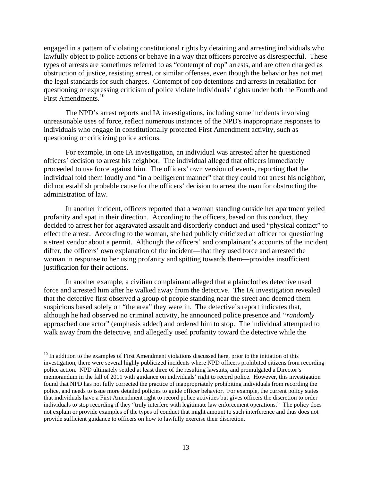First Amendments.<sup>10</sup> engaged in a pattern of violating constitutional rights by detaining and arresting individuals who lawfully object to police actions or behave in a way that officers perceive as disrespectful. These types of arrests are sometimes referred to as "contempt of cop" arrests, and are often charged as obstruction of justice, resisting arrest, or similar offenses, even though the behavior has not met the legal standards for such charges. Contempt of cop detentions and arrests in retaliation for questioning or expressing criticism of police violate individuals' rights under both the Fourth and

The NPD's arrest reports and IA investigations, including some incidents involving unreasonable uses of force, reflect numerous instances of the NPD's inappropriate responses to individuals who engage in constitutionally protected First Amendment activity, such as questioning or criticizing police actions.

For example, in one IA investigation, an individual was arrested after he questioned officers' decision to arrest his neighbor. The individual alleged that officers immediately proceeded to use force against him. The officers' own version of events, reporting that the individual told them loudly and "in a belligerent manner" that they could not arrest his neighbor, did not establish probable cause for the officers' decision to arrest the man for obstructing the administration of law.

In another incident, officers reported that a woman standing outside her apartment yelled profanity and spat in their direction. According to the officers, based on this conduct, they decided to arrest her for aggravated assault and disorderly conduct and used "physical contact" to effect the arrest. According to the woman, she had publicly criticized an officer for questioning a street vendor about a permit. Although the officers' and complainant's accounts of the incident differ, the officers' own explanation of the incident—that they used force and arrested the woman in response to her using profanity and spitting towards them—provides insufficient justification for their actions.

In another example, a civilian complainant alleged that a plainclothes detective used force and arrested him after he walked away from the detective. The IA investigation revealed that the detective first observed a group of people standing near the street and deemed them suspicious based solely on "the area" they were in. The detective's report indicates that, although he had observed no criminal activity, he announced police presence and *"randomly*  approached one actor" (emphasis added) and ordered him to stop. The individual attempted to walk away from the detective, and allegedly used profanity toward the detective while the

 police action. NPD ultimately settled at least three of the resulting lawsuits, and promulgated a Director's not explain or provide examples of the types of conduct that might amount to such interference and thus does not <sup>10</sup> In addition to the examples of First Amendment violations discussed here, prior to the initiation of this investigation, there were several highly publicized incidents where NPD officers prohibited citizens from recording memorandum in the fall of 2011 with guidance on individuals' right to record police. However, this investigation found that NPD has not fully corrected the practice of inappropriately prohibiting individuals from recording the police, and needs to issue more detailed policies to guide officer behavior. For example, the current policy states that individuals have a First Amendment right to record police activities but gives officers the discretion to order individuals to stop recording if they "truly interfere with legitimate law enforcement operations." The policy does provide sufficient guidance to officers on how to lawfully exercise their discretion.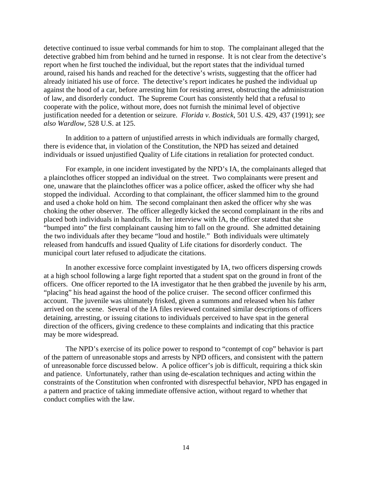detective continued to issue verbal commands for him to stop. The complainant alleged that the detective grabbed him from behind and he turned in response. It is not clear from the detective's report when he first touched the individual, but the report states that the individual turned around, raised his hands and reached for the detective's wrists, suggesting that the officer had already initiated his use of force. The detective's report indicates he pushed the individual up against the hood of a car, before arresting him for resisting arrest, obstructing the administration of law, and disorderly conduct. The Supreme Court has consistently held that a refusal to cooperate with the police, without more, does not furnish the minimal level of objective justification needed for a detention or seizure. *Florida v. Bostick*, 501 U.S. 429, 437 (1991); *see also Wardlow*, 528 U.S. at 125.

In addition to a pattern of unjustified arrests in which individuals are formally charged, there is evidence that, in violation of the Constitution, the NPD has seized and detained individuals or issued unjustified Quality of Life citations in retaliation for protected conduct.

For example, in one incident investigated by the NPD's IA, the complainants alleged that a plainclothes officer stopped an individual on the street. Two complainants were present and one, unaware that the plainclothes officer was a police officer, asked the officer why she had stopped the individual. According to that complainant, the officer slammed him to the ground and used a choke hold on him. The second complainant then asked the officer why she was choking the other observer. The officer allegedly kicked the second complainant in the ribs and placed both individuals in handcuffs. In her interview with IA, the officer stated that she "bumped into" the first complainant causing him to fall on the ground. She admitted detaining the two individuals after they became "loud and hostile." Both individuals were ultimately released from handcuffs and issued Quality of Life citations for disorderly conduct. The municipal court later refused to adjudicate the citations.

In another excessive force complaint investigated by IA, two officers dispersing crowds at a high school following a large fight reported that a student spat on the ground in front of the officers. One officer reported to the IA investigator that he then grabbed the juvenile by his arm, "placing" his head against the hood of the police cruiser. The second officer confirmed this account. The juvenile was ultimately frisked, given a summons and released when his father arrived on the scene. Several of the IA files reviewed contained similar descriptions of officers detaining, arresting, or issuing citations to individuals perceived to have spat in the general direction of the officers, giving credence to these complaints and indicating that this practice may be more widespread.

The NPD's exercise of its police power to respond to "contempt of cop" behavior is part of the pattern of unreasonable stops and arrests by NPD officers, and consistent with the pattern of unreasonable force discussed below. A police officer's job is difficult, requiring a thick skin and patience. Unfortunately, rather than using de-escalation techniques and acting within the constraints of the Constitution when confronted with disrespectful behavior, NPD has engaged in a pattern and practice of taking immediate offensive action, without regard to whether that conduct complies with the law.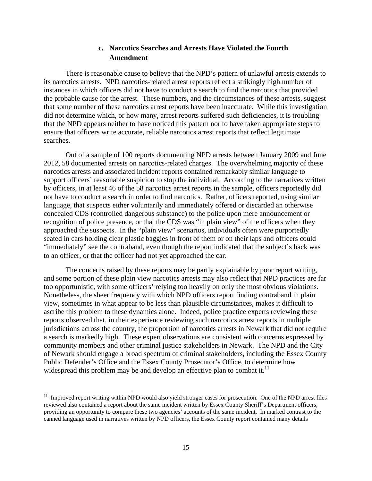## **c. Narcotics Searches and Arrests Have Violated the Fourth Amendment**

<span id="page-17-0"></span>There is reasonable cause to believe that the NPD's pattern of unlawful arrests extends to its narcotics arrests. NPD narcotics-related arrest reports reflect a strikingly high number of instances in which officers did not have to conduct a search to find the narcotics that provided the probable cause for the arrest. These numbers, and the circumstances of these arrests, suggest that some number of these narcotics arrest reports have been inaccurate. While this investigation did not determine which, or how many, arrest reports suffered such deficiencies, it is troubling that the NPD appears neither to have noticed this pattern nor to have taken appropriate steps to ensure that officers write accurate, reliable narcotics arrest reports that reflect legitimate searches.

Out of a sample of 100 reports documenting NPD arrests between January 2009 and June 2012, 58 documented arrests on narcotics-related charges. The overwhelming majority of these narcotics arrests and associated incident reports contained remarkably similar language to support officers' reasonable suspicion to stop the individual. According to the narratives written by officers, in at least 46 of the 58 narcotics arrest reports in the sample, officers reportedly did not have to conduct a search in order to find narcotics. Rather, officers reported, using similar language, that suspects either voluntarily and immediately offered or discarded an otherwise concealed CDS (controlled dangerous substance) to the police upon mere announcement or recognition of police presence, or that the CDS was "in plain view" of the officers when they approached the suspects. In the "plain view" scenarios, individuals often were purportedly seated in cars holding clear plastic baggies in front of them or on their laps and officers could "immediately" see the contraband, even though the report indicated that the subject's back was to an officer, or that the officer had not yet approached the car.

widespread this problem may be and develop an effective plan to combat it. $^{11}$ The concerns raised by these reports may be partly explainable by poor report writing, and some portion of these plain view narcotics arrests may also reflect that NPD practices are far too opportunistic, with some officers' relying too heavily on only the most obvious violations. Nonetheless, the sheer frequency with which NPD officers report finding contraband in plain view, sometimes in what appear to be less than plausible circumstances, makes it difficult to ascribe this problem to these dynamics alone. Indeed, police practice experts reviewing these reports observed that, in their experience reviewing such narcotics arrest reports in multiple jurisdictions across the country, the proportion of narcotics arrests in Newark that did not require a search is markedly high. These expert observations are consistent with concerns expressed by community members and other criminal justice stakeholders in Newark. The NPD and the City of Newark should engage a broad spectrum of criminal stakeholders, including the Essex County Public Defender's Office and the Essex County Prosecutor's Office, to determine how

<sup>&</sup>lt;sup>11</sup> Improved report writing within NPD would also yield stronger cases for prosecution. One of the NPD arrest files reviewed also contained a report about the same incident written by Essex County Sheriff's Department officers, providing an opportunity to compare these two agencies' accounts of the same incident. In marked contrast to the canned language used in narratives written by NPD officers, the Essex County report contained many details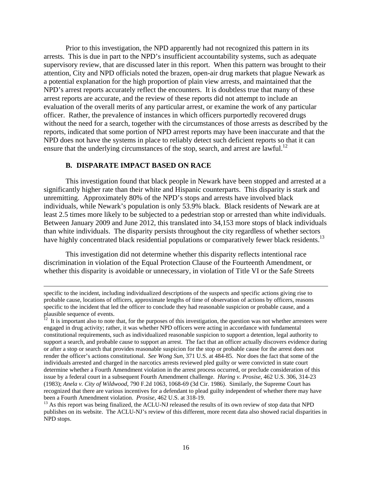<span id="page-18-0"></span>Prior to this investigation, the NPD apparently had not recognized this pattern in its arrests. This is due in part to the NPD's insufficient accountability systems, such as adequate supervisory review, that are discussed later in this report. When this pattern was brought to their attention, City and NPD officials noted the brazen, open-air drug markets that plague Newark as a potential explanation for the high proportion of plain view arrests, and maintained that the NPD's arrest reports accurately reflect the encounters. It is doubtless true that many of these arrest reports are accurate, and the review of these reports did not attempt to include an evaluation of the overall merits of any particular arrest, or examine the work of any particular officer. Rather, the prevalence of instances in which officers purportedly recovered drugs without the need for a search, together with the circumstances of those arrests as described by the reports, indicated that some portion of NPD arrest reports may have been inaccurate and that the NPD does not have the systems in place to reliably detect such deficient reports so that it can ensure that the underlying circumstances of the stop, search, and arrest are lawful.<sup>12</sup>

#### **B. DISPARATE IMPACT BASED ON RACE**

have highly concentrated black residential populations or comparatively fewer black residents.<sup>13</sup> This investigation found that black people in Newark have been stopped and arrested at a significantly higher rate than their white and Hispanic counterparts. This disparity is stark and unremitting. Approximately 80% of the NPD's stops and arrests have involved black individuals, while Newark's population is only 53.9% black. Black residents of Newark are at least 2.5 times more likely to be subjected to a pedestrian stop or arrested than white individuals. Between January 2009 and June 2012, this translated into 34,153 more stops of black individuals than white individuals. The disparity persists throughout the city regardless of whether sectors

This investigation did not determine whether this disparity reflects intentional race discrimination in violation of the Equal Protection Clause of the Fourteenth Amendment, or whether this disparity is avoidable or unnecessary, in violation of Title VI or the Safe Streets

<u> 1989 - Johann Stein, marwolaethau a gweledydd a ganlad y ganlad y ganlad y ganlad y ganlad y ganlad y ganlad</u>

 probable cause, locations of officers, approximate lengths of time of observation of actions by officers, reasons specific to the incident, including individualized descriptions of the suspects and specific actions giving rise to specific to the incident that led the officer to conclude they had reasonable suspicion or probable cause, and a plausible sequence of events.

 individuals arrested and charged in the narcotics arrests reviewed pled guilty or were convicted in state court recognized that there are various incentives for a defendant to plead guilty independent of whether there may have been a Fourth Amendment violation. Prosise, 462 U.S. at 318-19.  $12$  It is important also to note that, for the purposes of this investigation, the question was not whether arrestees were engaged in drug activity; rather, it was whether NPD officers were acting in accordance with fundamental constitutional requirements, such as individualized reasonable suspicion to support a detention, legal authority to support a search, and probable cause to support an arrest. The fact that an officer actually discovers evidence during or after a stop or search that provides reasonable suspicion for the stop or probable cause for the arrest does not render the officer's actions constitutional. *See Wong Sun*, 371 U.S. at 484-85. Nor does the fact that some of the determine whether a Fourth Amendment violation in the arrest process occurred, or preclude consideration of this issue by a federal court in a subsequent Fourth Amendment challenge. *Haring v. Prosise*, 462 U.S. 306, 314-23 (1983); *Anela v. City of Wildwood*, 790 F.2d 1063, 1068-69 (3d Cir. 1986). Similarly, the Supreme Court has

<sup>&</sup>lt;sup>13</sup> As this report was being finalized, the ACLU-NJ released the results of its own review of stop data that NPD publishes on its website. The ACLU-NJ's review of this different, more recent data also showed racial disparities in NPD stops.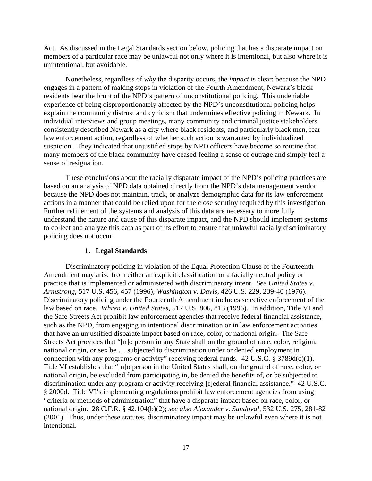<span id="page-19-0"></span>Act. As discussed in the Legal Standards section below, policing that has a disparate impact on members of a particular race may be unlawful not only where it is intentional, but also where it is unintentional, but avoidable.

Nonetheless, regardless of *why* the disparity occurs, the *impact* is clear: because the NPD engages in a pattern of making stops in violation of the Fourth Amendment, Newark's black residents bear the brunt of the NPD's pattern of unconstitutional policing. This undeniable experience of being disproportionately affected by the NPD's unconstitutional policing helps explain the community distrust and cynicism that undermines effective policing in Newark. In individual interviews and group meetings, many community and criminal justice stakeholders consistently described Newark as a city where black residents, and particularly black men, fear law enforcement action, regardless of whether such action is warranted by individualized suspicion. They indicated that unjustified stops by NPD officers have become so routine that many members of the black community have ceased feeling a sense of outrage and simply feel a sense of resignation.

These conclusions about the racially disparate impact of the NPD's policing practices are based on an analysis of NPD data obtained directly from the NPD's data management vendor because the NPD does not maintain, track, or analyze demographic data for its law enforcement actions in a manner that could be relied upon for the close scrutiny required by this investigation. Further refinement of the systems and analysis of this data are necessary to more fully understand the nature and cause of this disparate impact, and the NPD should implement systems to collect and analyze this data as part of its effort to ensure that unlawful racially discriminatory policing does not occur.

#### **1. Legal Standards**

Discriminatory policing in violation of the Equal Protection Clause of the Fourteenth Amendment may arise from either an explicit classification or a facially neutral policy or practice that is implemented or administered with discriminatory intent. *See United States v. Armstrong*, 517 U.S. 456, 457 (1996); *Washington v. Davis*, 426 U.S. 229, 239-40 (1976). Discriminatory policing under the Fourteenth Amendment includes selective enforcement of the law based on race. *Whren v. United States*, 517 U.S. 806, 813 (1996). In addition, Title VI and the Safe Streets Act prohibit law enforcement agencies that receive federal financial assistance, such as the NPD, from engaging in intentional discrimination or in law enforcement activities that have an unjustified disparate impact based on race, color, or national origin. The Safe Streets Act provides that "[n]o person in any State shall on the ground of race, color, religion, national origin, or sex be … subjected to discrimination under or denied employment in connection with any programs or activity" receiving federal funds.  $42 \text{ U.S.C.}$  §  $3789d(c)(1)$ . Title VI establishes that "[n]o person in the United States shall, on the ground of race, color, or national origin, be excluded from participating in, be denied the benefits of, or be subjected to discrimination under any program or activity receiving [f]ederal financial assistance." 42 U.S.C. § 2000d. Title VI's implementing regulations prohibit law enforcement agencies from using "criteria or methods of administration" that have a disparate impact based on race, color, or national origin. 28 C.F.R. § 42.104(b)(2); *see also Alexander v. Sandoval*, 532 U.S. 275, 281-82 (2001). Thus, under these statutes, discriminatory impact may be unlawful even where it is not intentional.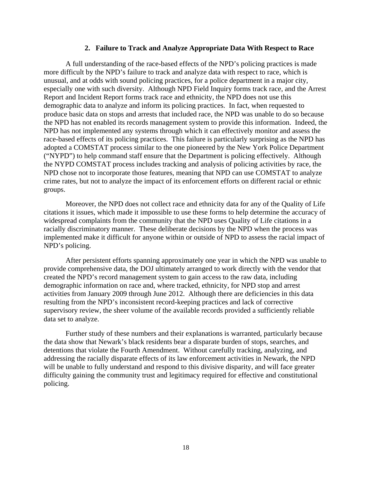#### **2. Failure to Track and Analyze Appropriate Data With Respect to Race**

<span id="page-20-0"></span>A full understanding of the race-based effects of the NPD's policing practices is made more difficult by the NPD's failure to track and analyze data with respect to race, which is unusual, and at odds with sound policing practices, for a police department in a major city, especially one with such diversity. Although NPD Field Inquiry forms track race, and the Arrest Report and Incident Report forms track race and ethnicity, the NPD does not use this demographic data to analyze and inform its policing practices. In fact, when requested to produce basic data on stops and arrests that included race, the NPD was unable to do so because the NPD has not enabled its records management system to provide this information. Indeed, the NPD has not implemented any systems through which it can effectively monitor and assess the race-based effects of its policing practices. This failure is particularly surprising as the NPD has adopted a COMSTAT process similar to the one pioneered by the New York Police Department ("NYPD") to help command staff ensure that the Department is policing effectively. Although the NYPD COMSTAT process includes tracking and analysis of policing activities by race, the NPD chose not to incorporate those features, meaning that NPD can use COMSTAT to analyze crime rates, but not to analyze the impact of its enforcement efforts on different racial or ethnic groups.

Moreover, the NPD does not collect race and ethnicity data for any of the Quality of Life citations it issues, which made it impossible to use these forms to help determine the accuracy of widespread complaints from the community that the NPD uses Quality of Life citations in a racially discriminatory manner. These deliberate decisions by the NPD when the process was implemented make it difficult for anyone within or outside of NPD to assess the racial impact of NPD's policing.

After persistent efforts spanning approximately one year in which the NPD was unable to provide comprehensive data, the DOJ ultimately arranged to work directly with the vendor that created the NPD's record management system to gain access to the raw data, including demographic information on race and, where tracked, ethnicity, for NPD stop and arrest activities from January 2009 through June 2012. Although there are deficiencies in this data resulting from the NPD's inconsistent record-keeping practices and lack of corrective supervisory review, the sheer volume of the available records provided a sufficiently reliable data set to analyze.

Further study of these numbers and their explanations is warranted, particularly because the data show that Newark's black residents bear a disparate burden of stops, searches, and detentions that violate the Fourth Amendment. Without carefully tracking, analyzing, and addressing the racially disparate effects of its law enforcement activities in Newark, the NPD will be unable to fully understand and respond to this divisive disparity, and will face greater difficulty gaining the community trust and legitimacy required for effective and constitutional policing.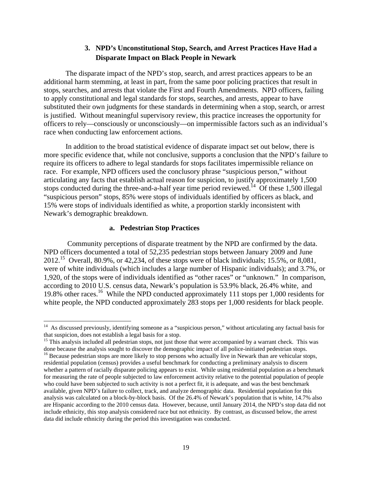## **3. NPD's Unconstitutional Stop, Search, and Arrest Practices Have Had a Disparate Impact on Black People in Newark**

<span id="page-21-0"></span>The disparate impact of the NPD's stop, search, and arrest practices appears to be an additional harm stemming, at least in part, from the same poor policing practices that result in stops, searches, and arrests that violate the First and Fourth Amendments. NPD officers, failing to apply constitutional and legal standards for stops, searches, and arrests, appear to have substituted their own judgments for these standards in determining when a stop, search, or arrest is justified. Without meaningful supervisory review, this practice increases the opportunity for officers to rely—consciously or unconsciously—on impermissible factors such as an individual's race when conducting law enforcement actions.

In addition to the broad statistical evidence of disparate impact set out below, there is more specific evidence that, while not conclusive, supports a conclusion that the NPD's failure to require its officers to adhere to legal standards for stops facilitates impermissible reliance on race. For example, NPD officers used the conclusory phrase "suspicious person," without articulating any facts that establish actual reason for suspicion, to justify approximately 1,500 stops conducted during the three-and-a-half year time period reviewed.<sup>14</sup> Of these 1,500 illegal "suspicious person" stops, 85% were stops of individuals identified by officers as black, and 15% were stops of individuals identified as white, a proportion starkly inconsistent with Newark's demographic breakdown.

#### **a. Pedestrian Stop Practices**

 Community perceptions of disparate treatment by the NPD are confirmed by the data. NPD officers documented a total of 52,235 pedestrian stops between January 2009 and June 2012.15 Overall, 80.9%, or 42,234, of these stops were of black individuals; 15.5%, or 8,081, were of white individuals (which includes a large number of Hispanic individuals); and 3.7%, or 1,920, of the stops were of individuals identified as "other races" or "unknown." In comparison, according to 2010 U.S. census data, Newark's population is 53.9% black, 26.4% white, and 19.8% other races.16 While the NPD conducted approximately 111 stops per 1,000 residents for white people, the NPD conducted approximately 283 stops per 1,000 residents for black people.

 that suspicion, does not establish a legal basis for a stop. <sup>14</sup> As discussed previously, identifying someone as a "suspicious person," without articulating any factual basis for

 done because the analysis sought to discover the demographic impact of all police-initiated pedestrian stops. <sup>15</sup> This analysis included all pedestrian stops, not just those that were accompanied by a warrant check. This was

 residential population (census) provides a useful benchmark for conducting a preliminary analysis to discern analysis was calculated on a block-by-block basis. Of the 26.4% of Newark's population that is white, 14.7% also <sup>16</sup> Because pedestrian stops are more likely to stop persons who actually live in Newark than are vehicular stops, whether a pattern of racially disparate policing appears to exist. While using residential population as a benchmark for measuring the rate of people subjected to law enforcement activity relative to the potential population of people who could have been subjected to such activity is not a perfect fit, it is adequate, and was the best benchmark available, given NPD's failure to collect, track, and analyze demographic data. Residential population for this are Hispanic according to the 2010 census data. However, because, until January 2014, the NPD's stop data did not include ethnicity, this stop analysis considered race but not ethnicity. By contrast, as discussed below, the arrest data did include ethnicity during the period this investigation was conducted.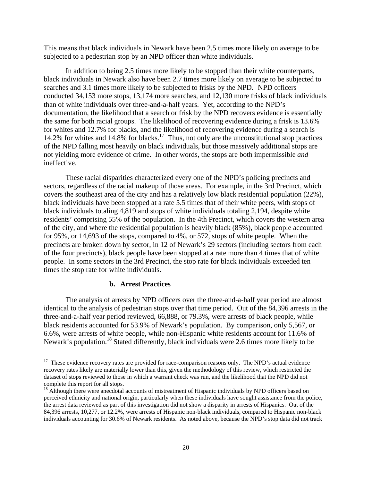<span id="page-22-0"></span>This means that black individuals in Newark have been 2.5 times more likely on average to be subjected to a pedestrian stop by an NPD officer than white individuals.

 searches and 3.1 times more likely to be subjected to frisks by the NPD. NPD officers In addition to being 2.5 times more likely to be stopped than their white counterparts, black individuals in Newark also have been 2.7 times more likely on average to be subjected to conducted 34,153 more stops, 13,174 more searches, and 12,130 more frisks of black individuals than of white individuals over three-and-a-half years. Yet, according to the NPD's documentation, the likelihood that a search or frisk by the NPD recovers evidence is essentially the same for both racial groups. The likelihood of recovering evidence during a frisk is 13.6% for whites and 12.7% for blacks, and the likelihood of recovering evidence during a search is 14.2% for whites and 14.8% for blacks.<sup>17</sup> Thus, not only are the unconstitutional stop practices of the NPD falling most heavily on black individuals, but those massively additional stops are not yielding more evidence of crime. In other words, the stops are both impermissible *and*  ineffective.

These racial disparities characterized every one of the NPD's policing precincts and sectors, regardless of the racial makeup of those areas. For example, in the 3rd Precinct, which covers the southeast area of the city and has a relatively low black residential population (22%), black individuals have been stopped at a rate 5.5 times that of their white peers, with stops of black individuals totaling 4,819 and stops of white individuals totaling 2,194, despite white residents' comprising 55% of the population. In the 4th Precinct, which covers the western area of the city, and where the residential population is heavily black (85%), black people accounted for 95%, or 14,693 of the stops, compared to 4%, or 572, stops of white people. When the precincts are broken down by sector, in 12 of Newark's 29 sectors (including sectors from each of the four precincts), black people have been stopped at a rate more than 4 times that of white people. In some sectors in the 3rd Precinct, the stop rate for black individuals exceeded ten times the stop rate for white individuals.

#### **b. Arrest Practices**

The analysis of arrests by NPD officers over the three-and-a-half year period are almost identical to the analysis of pedestrian stops over that time period. Out of the 84,396 arrests in the three-and-a-half year period reviewed, 66,888, or 79.3%, were arrests of black people, while black residents accounted for 53.9% of Newark's population. By comparison, only 5,567, or 6.6%, were arrests of white people, while non-Hispanic white residents account for 11.6% of Newark's population.<sup>18</sup> Stated differently, black individuals were 2.6 times more likely to be

 $17$  These evidence recovery rates are provided for race-comparison reasons only. The NPD's actual evidence recovery rates likely are materially lower than this, given the methodology of this review, which restricted the dataset of stops reviewed to those in which a warrant check was run, and the likelihood that the NPD did not complete this report for all stops.

 84,396 arrests, 10,277, or 12.2%, were arrests of Hispanic non-black individuals, compared to Hispanic non-black <sup>18</sup> Although there were anecdotal accounts of mistreatment of Hispanic individuals by NPD officers based on perceived ethnicity and national origin, particularly when these individuals have sought assistance from the police, the arrest data reviewed as part of this investigation did not show a disparity in arrests of Hispanics. Out of the individuals accounting for 30.6% of Newark residents. As noted above, because the NPD's stop data did not track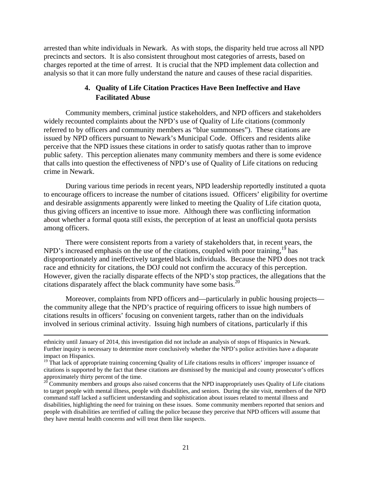<span id="page-23-0"></span>arrested than white individuals in Newark. As with stops, the disparity held true across all NPD precincts and sectors. It is also consistent throughout most categories of arrests, based on charges reported at the time of arrest. It is crucial that the NPD implement data collection and analysis so that it can more fully understand the nature and causes of these racial disparities.

## **4. Quality of Life Citation Practices Have Been Ineffective and Have Facilitated Abuse**

Community members, criminal justice stakeholders, and NPD officers and stakeholders widely recounted complaints about the NPD's use of Quality of Life citations (commonly referred to by officers and community members as "blue summonses"). These citations are issued by NPD officers pursuant to Newark's Municipal Code. Officers and residents alike perceive that the NPD issues these citations in order to satisfy quotas rather than to improve public safety. This perception alienates many community members and there is some evidence that calls into question the effectiveness of NPD's use of Quality of Life citations on reducing crime in Newark.

During various time periods in recent years, NPD leadership reportedly instituted a quota to encourage officers to increase the number of citations issued. Officers' eligibility for overtime and desirable assignments apparently were linked to meeting the Quality of Life citation quota, thus giving officers an incentive to issue more. Although there was conflicting information about whether a formal quota still exists, the perception of at least an unofficial quota persists among officers.

citations disparately affect the black community have some basis.<sup>20</sup> There were consistent reports from a variety of stakeholders that, in recent years, the NPD's increased emphasis on the use of the citations, coupled with poor training,<sup>19</sup> has disproportionately and ineffectively targeted black individuals. Because the NPD does not track race and ethnicity for citations, the DOJ could not confirm the accuracy of this perception. However, given the racially disparate effects of the NPD's stop practices, the allegations that the

Moreover, complaints from NPD officers and—particularly in public housing projects the community allege that the NPD's practice of requiring officers to issue high numbers of citations results in officers' focusing on convenient targets, rather than on the individuals involved in serious criminal activity. Issuing high numbers of citations, particularly if this

<u> 1989 - Johann Stoff, amerikansk politiker (d. 1989)</u>

 ethnicity until January of 2014, this investigation did not include an analysis of stops of Hispanics in Newark. Further inquiry is necessary to determine more conclusively whether the NPD's police activities have a disparate impact on Hispanics.

<sup>&</sup>lt;sup>19</sup> That lack of appropriate training concerning Quality of Life citations results in officers' improper issuance of citations is supported by the fact that these citations are dismissed by the municipal and county prosecutor's offices approximately thirty percent of the time.

 disabilities, highlighting the need for training on these issues. Some community members reported that seniors and  $20$  Community members and groups also raised concerns that the NPD inappropriately uses Quality of Life citations to target people with mental illness, people with disabilities, and seniors. During the site visit, members of the NPD command staff lacked a sufficient understanding and sophistication about issues related to mental illness and people with disabilities are terrified of calling the police because they perceive that NPD officers will assume that they have mental health concerns and will treat them like suspects.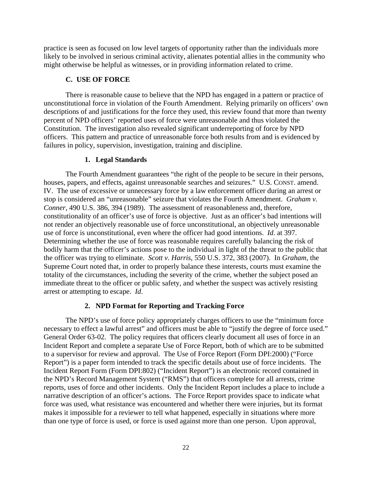<span id="page-24-0"></span>practice is seen as focused on low level targets of opportunity rather than the individuals more likely to be involved in serious criminal activity, alienates potential allies in the community who might otherwise be helpful as witnesses, or in providing information related to crime.

#### **C. USE OF FORCE**

There is reasonable cause to believe that the NPD has engaged in a pattern or practice of unconstitutional force in violation of the Fourth Amendment. Relying primarily on officers' own descriptions of and justifications for the force they used, this review found that more than twenty percent of NPD officers' reported uses of force were unreasonable and thus violated the Constitution. The investigation also revealed significant underreporting of force by NPD officers. This pattern and practice of unreasonable force both results from and is evidenced by failures in policy, supervision, investigation, training and discipline.

#### **1. Legal Standards**

The Fourth Amendment guarantees "the right of the people to be secure in their persons, houses, papers, and effects, against unreasonable searches and seizures." U.S. CONST. amend. IV. The use of excessive or unnecessary force by a law enforcement officer during an arrest or stop is considered an "unreasonable" seizure that violates the Fourth Amendment. *Graham v. Conner*, 490 U.S. 386, 394 (1989). The assessment of reasonableness and, therefore, constitutionality of an officer's use of force is objective. Just as an officer's bad intentions will not render an objectively reasonable use of force unconstitutional, an objectively unreasonable use of force is unconstitutional, even where the officer had good intentions. *Id*. at 397. Determining whether the use of force was reasonable requires carefully balancing the risk of bodily harm that the officer's actions pose to the individual in light of the threat to the public that the officer was trying to eliminate. *Scott v. Harris*, 550 U.S. 372, 383 (2007). In *Graham*, the Supreme Court noted that, in order to properly balance these interests, courts must examine the totality of the circumstances, including the severity of the crime, whether the subject posed an immediate threat to the officer or public safety, and whether the suspect was actively resisting arrest or attempting to escape. *Id*.

#### **2. NPD Format for Reporting and Tracking Force**

The NPD's use of force policy appropriately charges officers to use the "minimum force necessary to effect a lawful arrest" and officers must be able to "justify the degree of force used." General Order 63-02. The policy requires that officers clearly document all uses of force in an Incident Report and complete a separate Use of Force Report, both of which are to be submitted to a supervisor for review and approval. The Use of Force Report (Form DPI:2000) ("Force Report") is a paper form intended to track the specific details about use of force incidents. The Incident Report Form (Form DPI:802) ("Incident Report") is an electronic record contained in the NPD's Record Management System ("RMS") that officers complete for all arrests, crime reports, uses of force and other incidents. Only the Incident Report includes a place to include a narrative description of an officer's actions. The Force Report provides space to indicate what force was used, what resistance was encountered and whether there were injuries, but its format makes it impossible for a reviewer to tell what happened, especially in situations where more than one type of force is used, or force is used against more than one person. Upon approval,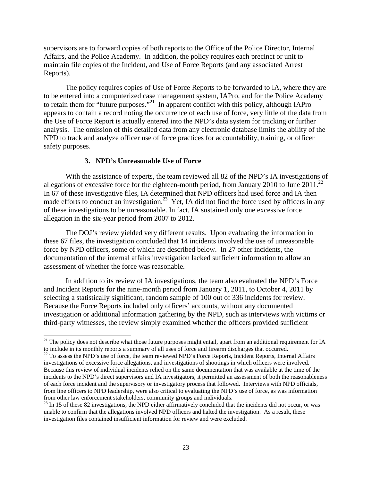<span id="page-25-0"></span>supervisors are to forward copies of both reports to the Office of the Police Director, Internal Affairs, and the Police Academy. In addition, the policy requires each precinct or unit to maintain file copies of the Incident, and Use of Force Reports (and any associated Arrest Reports).

The policy requires copies of Use of Force Reports to be forwarded to IA, where they are to be entered into a computerized case management system, IAPro, and for the Police Academy to retain them for "future purposes."<sup>21</sup> In apparent conflict with this policy, although IAPro appears to contain a record noting the occurrence of each use of force, very little of the data from the Use of Force Report is actually entered into the NPD's data system for tracking or further analysis. The omission of this detailed data from any electronic database limits the ability of the NPD to track and analyze officer use of force practices for accountability, training, or officer safety purposes.

#### **3. NPD's Unreasonable Use of Force**

allegations of excessive force for the eighteen-month period, from January 2010 to June  $2011.^{22}$ With the assistance of experts, the team reviewed all 82 of the NPD's IA investigations of In 67 of these investigative files, IA determined that NPD officers had used force and IA then made efforts to conduct an investigation.<sup>23</sup> Yet, IA did not find the force used by officers in any of these investigations to be unreasonable. In fact, IA sustained only one excessive force allegation in the six-year period from 2007 to 2012.

The DOJ's review yielded very different results. Upon evaluating the information in these 67 files, the investigation concluded that 14 incidents involved the use of unreasonable force by NPD officers, some of which are described below. In 27 other incidents, the documentation of the internal affairs investigation lacked sufficient information to allow an assessment of whether the force was reasonable.

In addition to its review of IA investigations, the team also evaluated the NPD's Force and Incident Reports for the nine-month period from January 1, 2011, to October 4, 2011 by selecting a statistically significant, random sample of 100 out of 336 incidents for review. Because the Force Reports included only officers' accounts, without any documented investigation or additional information gathering by the NPD, such as interviews with victims or third-party witnesses, the review simply examined whether the officers provided sufficient

 to include in its monthly reports a summary of all uses of force and firearm discharges that occurred.  $21$  The policy does not describe what those future purposes might entail, apart from an additional requirement for IA

<sup>&</sup>lt;sup>22</sup> To assess the NPD's use of force, the team reviewed NPD's Force Reports, Incident Reports, Internal Affairs investigations of excessive force allegations, and investigations of shootings in which officers were involved. Because this review of individual incidents relied on the same documentation that was available at the time of the incidents to the NPD's direct supervisors and IA investigators, it permitted an assessment of both the reasonableness of each force incident and the supervisory or investigatory process that followed. Interviews with NPD officials, from line officers to NPD leadership, were also critical to evaluating the NPD's use of force, as was information from other law enforcement stakeholders, community groups and individuals.

 unable to confirm that the allegations involved NPD officers and halted the investigation. As a result, these  $^{23}$  In 15 of these 82 investigations, the NPD either affirmatively concluded that the incidents did not occur, or was investigation files contained insufficient information for review and were excluded.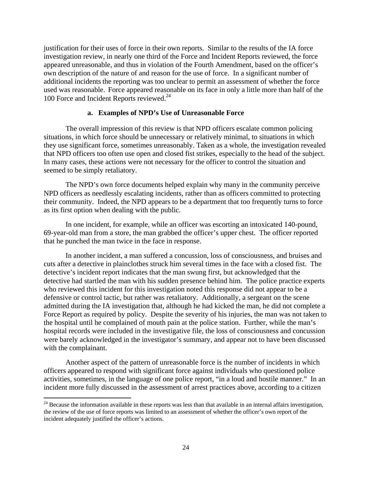<span id="page-26-0"></span>100 Force and Incident Reports reviewed.<sup>24</sup> justification for their uses of force in their own reports. Similar to the results of the IA force investigation review, in nearly one third of the Force and Incident Reports reviewed, the force appeared unreasonable, and thus in violation of the Fourth Amendment, based on the officer's own description of the nature of and reason for the use of force. In a significant number of additional incidents the reporting was too unclear to permit an assessment of whether the force used was reasonable. Force appeared reasonable on its face in only a little more than half of the

#### **a. Examples of NPD's Use of Unreasonable Force**

The overall impression of this review is that NPD officers escalate common policing situations, in which force should be unnecessary or relatively minimal, to situations in which they use significant force, sometimes unreasonably. Taken as a whole, the investigation revealed that NPD officers too often use open and closed fist strikes, especially to the head of the subject. In many cases, these actions were not necessary for the officer to control the situation and seemed to be simply retaliatory.

The NPD's own force documents helped explain why many in the community perceive NPD officers as needlessly escalating incidents, rather than as officers committed to protecting their community. Indeed, the NPD appears to be a department that too frequently turns to force as its first option when dealing with the public.

In one incident, for example, while an officer was escorting an intoxicated 140-pound, 69-year-old man from a store, the man grabbed the officer's upper chest. The officer reported that he punched the man twice in the face in response.

In another incident, a man suffered a concussion, loss of consciousness, and bruises and cuts after a detective in plainclothes struck him several times in the face with a closed fist. The detective's incident report indicates that the man swung first, but acknowledged that the detective had startled the man with his sudden presence behind him. The police practice experts who reviewed this incident for this investigation noted this response did not appear to be a defensive or control tactic, but rather was retaliatory. Additionally, a sergeant on the scene admitted during the IA investigation that, although he had kicked the man, he did not complete a Force Report as required by policy. Despite the severity of his injuries, the man was not taken to the hospital until he complained of mouth pain at the police station. Further, while the man's hospital records were included in the investigative file, the loss of consciousness and concussion were barely acknowledged in the investigator's summary, and appear not to have been discussed with the complainant.

Another aspect of the pattern of unreasonable force is the number of incidents in which officers appeared to respond with significant force against individuals who questioned police activities, sometimes, in the language of one police report, "in a loud and hostile manner." In an incident more fully discussed in the assessment of arrest practices above, according to a citizen

 $24$  Because the information available in these reports was less than that available in an internal affairs investigation, the review of the use of force reports was limited to an assessment of whether the officer's own report of the incident adequately justified the officer's actions.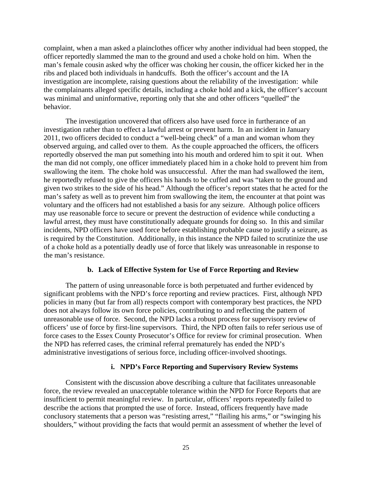<span id="page-27-0"></span>complaint, when a man asked a plainclothes officer why another individual had been stopped, the officer reportedly slammed the man to the ground and used a choke hold on him. When the man's female cousin asked why the officer was choking her cousin, the officer kicked her in the ribs and placed both individuals in handcuffs. Both the officer's account and the IA investigation are incomplete, raising questions about the reliability of the investigation: while the complainants alleged specific details, including a choke hold and a kick, the officer's account was minimal and uninformative, reporting only that she and other officers "quelled" the behavior.

The investigation uncovered that officers also have used force in furtherance of an investigation rather than to effect a lawful arrest or prevent harm. In an incident in January 2011, two officers decided to conduct a "well-being check" of a man and woman whom they observed arguing, and called over to them. As the couple approached the officers, the officers reportedly observed the man put something into his mouth and ordered him to spit it out. When the man did not comply, one officer immediately placed him in a choke hold to prevent him from swallowing the item. The choke hold was unsuccessful. After the man had swallowed the item, he reportedly refused to give the officers his hands to be cuffed and was "taken to the ground and given two strikes to the side of his head." Although the officer's report states that he acted for the man's safety as well as to prevent him from swallowing the item, the encounter at that point was voluntary and the officers had not established a basis for any seizure. Although police officers may use reasonable force to secure or prevent the destruction of evidence while conducting a lawful arrest, they must have constitutionally adequate grounds for doing so. In this and similar incidents, NPD officers have used force before establishing probable cause to justify a seizure, as is required by the Constitution. Additionally, in this instance the NPD failed to scrutinize the use of a choke hold as a potentially deadly use of force that likely was unreasonable in response to the man's resistance.

## **b. Lack of Effective System for Use of Force Reporting and Review**

The pattern of using unreasonable force is both perpetuated and further evidenced by significant problems with the NPD's force reporting and review practices. First, although NPD policies in many (but far from all) respects comport with contemporary best practices, the NPD does not always follow its own force policies, contributing to and reflecting the pattern of unreasonable use of force. Second, the NPD lacks a robust process for supervisory review of officers' use of force by first-line supervisors. Third, the NPD often fails to refer serious use of force cases to the Essex County Prosecutor's Office for review for criminal prosecution. When the NPD has referred cases, the criminal referral prematurely has ended the NPD's administrative investigations of serious force, including officer-involved shootings.

## **i. NPD's Force Reporting and Supervisory Review Systems**

Consistent with the discussion above describing a culture that facilitates unreasonable force, the review revealed an unacceptable tolerance within the NPD for Force Reports that are insufficient to permit meaningful review. In particular, officers' reports repeatedly failed to describe the actions that prompted the use of force. Instead, officers frequently have made conclusory statements that a person was "resisting arrest," "flailing his arms," or "swinging his shoulders," without providing the facts that would permit an assessment of whether the level of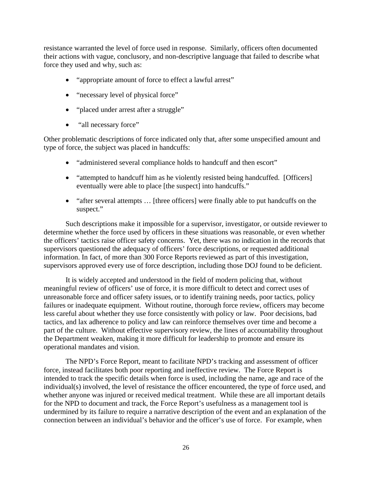resistance warranted the level of force used in response. Similarly, officers often documented their actions with vague, conclusory, and non-descriptive language that failed to describe what force they used and why, such as:

- "appropriate amount of force to effect a lawful arrest"
- "necessary level of physical force"
- "placed under arrest after a struggle"
- "all necessary force"

Other problematic descriptions of force indicated only that, after some unspecified amount and type of force, the subject was placed in handcuffs:

- "administered several compliance holds to handcuff and then escort"
- "attempted to handcuff him as he violently resisted being handcuffed. [Officers] eventually were able to place [the suspect] into handcuffs."
- "after several attempts ... [three officers] were finally able to put handcuffs on the suspect."

Such descriptions make it impossible for a supervisor, investigator, or outside reviewer to determine whether the force used by officers in these situations was reasonable, or even whether the officers' tactics raise officer safety concerns. Yet, there was no indication in the records that supervisors questioned the adequacy of officers' force descriptions, or requested additional information. In fact, of more than 300 Force Reports reviewed as part of this investigation, supervisors approved every use of force description, including those DOJ found to be deficient.

It is widely accepted and understood in the field of modern policing that, without meaningful review of officers' use of force, it is more difficult to detect and correct uses of unreasonable force and officer safety issues, or to identify training needs, poor tactics, policy failures or inadequate equipment. Without routine, thorough force review, officers may become less careful about whether they use force consistently with policy or law. Poor decisions, bad tactics, and lax adherence to policy and law can reinforce themselves over time and become a part of the culture. Without effective supervisory review, the lines of accountability throughout the Department weaken, making it more difficult for leadership to promote and ensure its operational mandates and vision.

The NPD's Force Report, meant to facilitate NPD's tracking and assessment of officer force, instead facilitates both poor reporting and ineffective review. The Force Report is intended to track the specific details when force is used, including the name, age and race of the individual(s) involved, the level of resistance the officer encountered, the type of force used, and whether anyone was injured or received medical treatment. While these are all important details for the NPD to document and track, the Force Report's usefulness as a management tool is undermined by its failure to require a narrative description of the event and an explanation of the connection between an individual's behavior and the officer's use of force. For example, when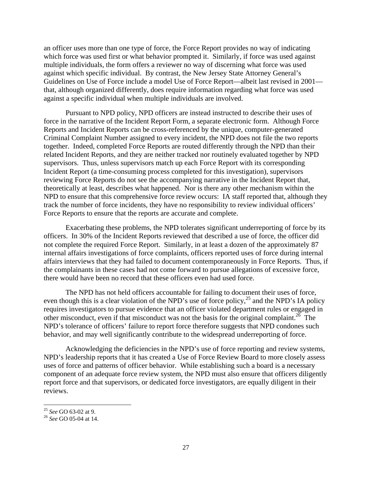an officer uses more than one type of force, the Force Report provides no way of indicating which force was used first or what behavior prompted it. Similarly, if force was used against multiple individuals, the form offers a reviewer no way of discerning what force was used against which specific individual. By contrast, the New Jersey State Attorney General's Guidelines on Use of Force include a model Use of Force Report—albeit last revised in 2001 that, although organized differently, does require information regarding what force was used against a specific individual when multiple individuals are involved.

Pursuant to NPD policy, NPD officers are instead instructed to describe their uses of force in the narrative of the Incident Report Form, a separate electronic form. Although Force Reports and Incident Reports can be cross-referenced by the unique, computer-generated Criminal Complaint Number assigned to every incident, the NPD does not file the two reports together. Indeed, completed Force Reports are routed differently through the NPD than their related Incident Reports, and they are neither tracked nor routinely evaluated together by NPD supervisors. Thus, unless supervisors match up each Force Report with its corresponding Incident Report (a time-consuming process completed for this investigation), supervisors reviewing Force Reports do not see the accompanying narrative in the Incident Report that, theoretically at least, describes what happened. Nor is there any other mechanism within the NPD to ensure that this comprehensive force review occurs: IA staff reported that, although they track the number of force incidents, they have no responsibility to review individual officers' Force Reports to ensure that the reports are accurate and complete.

Exacerbating these problems, the NPD tolerates significant underreporting of force by its officers. In 30% of the Incident Reports reviewed that described a use of force, the officer did not complete the required Force Report. Similarly, in at least a dozen of the approximately 87 internal affairs investigations of force complaints, officers reported uses of force during internal affairs interviews that they had failed to document contemporaneously in Force Reports. Thus, if the complainants in these cases had not come forward to pursue allegations of excessive force, there would have been no record that these officers even had used force.

The NPD has not held officers accountable for failing to document their uses of force, even though this is a clear violation of the NPD's use of force policy,<sup>25</sup> and the NPD's IA policy requires investigators to pursue evidence that an officer violated department rules or engaged in other misconduct, even if that misconduct was not the basis for the original complaint.<sup>26</sup> The NPD's tolerance of officers' failure to report force therefore suggests that NPD condones such behavior, and may well significantly contribute to the widespread underreporting of force.

Acknowledging the deficiencies in the NPD's use of force reporting and review systems, NPD's leadership reports that it has created a Use of Force Review Board to more closely assess uses of force and patterns of officer behavior. While establishing such a board is a necessary component of an adequate force review system, the NPD must also ensure that officers diligently report force and that supervisors, or dedicated force investigators, are equally diligent in their reviews.

<sup>&</sup>lt;sup>26</sup> See GO 05-04 at 14.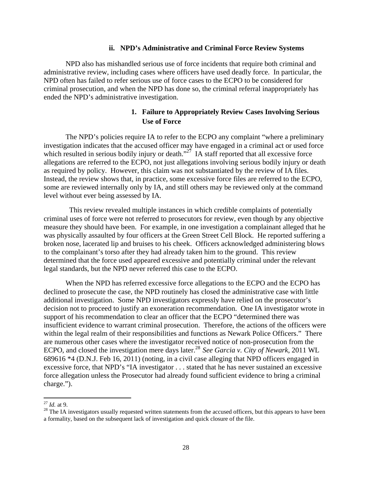#### **ii. NPD's Administrative and Criminal Force Review Systems**

<span id="page-30-0"></span>NPD also has mishandled serious use of force incidents that require both criminal and administrative review, including cases where officers have used deadly force. In particular, the NPD often has failed to refer serious use of force cases to the ECPO to be considered for criminal prosecution, and when the NPD has done so, the criminal referral inappropriately has ended the NPD's administrative investigation.

## **1. Failure to Appropriately Review Cases Involving Serious Use of Force**

The NPD's policies require IA to refer to the ECPO any complaint "where a preliminary investigation indicates that the accused officer may have engaged in a criminal act or used force which resulted in serious bodily injury or death."<sup>27</sup> IA staff reported that all excessive force allegations are referred to the ECPO, not just allegations involving serious bodily injury or death as required by policy. However, this claim was not substantiated by the review of IA files. Instead, the review shows that, in practice, some excessive force files are referred to the ECPO, some are reviewed internally only by IA, and still others may be reviewed only at the command level without ever being assessed by IA.

 This review revealed multiple instances in which credible complaints of potentially criminal uses of force were not referred to prosecutors for review, even though by any objective measure they should have been. For example, in one investigation a complainant alleged that he was physically assaulted by four officers at the Green Street Cell Block. He reported suffering a broken nose, lacerated lip and bruises to his cheek. Officers acknowledged administering blows to the complainant's torso after they had already taken him to the ground. This review determined that the force used appeared excessive and potentially criminal under the relevant legal standards, but the NPD never referred this case to the ECPO.

When the NPD has referred excessive force allegations to the ECPO and the ECPO has declined to prosecute the case, the NPD routinely has closed the administrative case with little additional investigation. Some NPD investigators expressly have relied on the prosecutor's decision not to proceed to justify an exoneration recommendation. One IA investigator wrote in support of his recommendation to clear an officer that the ECPO "determined there was insufficient evidence to warrant criminal prosecution. Therefore, the actions of the officers were within the legal realm of their responsibilities and functions as Newark Police Officers." There are numerous other cases where the investigator received notice of non-prosecution from the ECPO, and closed the investigation mere days later.<sup>28</sup> *See Garcia v. City of Newark*, 2011 WL 689616 \*4 (D.N.J. Feb 16, 2011) (noting, in a civil case alleging that NPD officers engaged in excessive force, that NPD's "IA investigator . . . stated that he has never sustained an excessive force allegation unless the Prosecutor had already found sufficient evidence to bring a criminal charge.").

 <sup>27</sup>*Id.* at 9.

<sup>&</sup>lt;sup>21</sup> Id. at 9.<br><sup>28</sup> The IA investigators usually requested written statements from the accused officers, but this appears to have been a formality, based on the subsequent lack of investigation and quick closure of the file.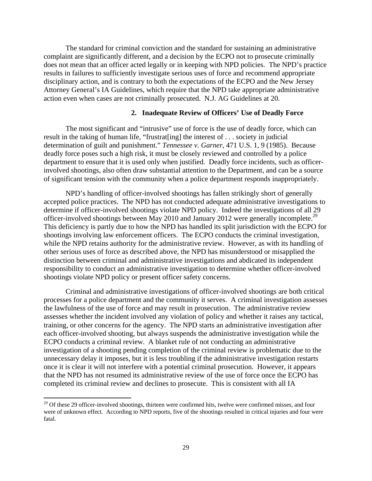The standard for criminal conviction and the standard for sustaining an administrative complaint are significantly different, and a decision by the ECPO not to prosecute criminally does not mean that an officer acted legally or in keeping with NPD policies. The NPD's practice results in failures to sufficiently investigate serious uses of force and recommend appropriate disciplinary action, and is contrary to both the expectations of the ECPO and the New Jersey Attorney General's IA Guidelines, which require that the NPD take appropriate administrative action even when cases are not criminally prosecuted. N.J. AG Guidelines at 20.

#### **2. Inadequate Review of Officers' Use of Deadly Force**

The most significant and "intrusive" use of force is the use of deadly force, which can result in the taking of human life, "frustrat[ing] the interest of . . . society in judicial determination of guilt and punishment." *Tennessee v. Garner*, 471 U.S. 1, 9 (1985). Because deadly force poses such a high risk, it must be closely reviewed and controlled by a police department to ensure that it is used only when justified. Deadly force incidents, such as officerinvolved shootings, also often draw substantial attention to the Department, and can be a source of significant tension with the community when a police department responds inappropriately.

officer-involved shootings between May 2010 and January 2012 were generally incomplete.<sup>29</sup> NPD's handling of officer-involved shootings has fallen strikingly short of generally accepted police practices. The NPD has not conducted adequate administrative investigations to determine if officer-involved shootings violate NPD policy. Indeed the investigations of all 29 This deficiency is partly due to how the NPD has handled its split jurisdiction with the ECPO for shootings involving law enforcement officers. The ECPO conducts the criminal investigation, while the NPD retains authority for the administrative review. However, as with its handling of other serious uses of force as described above, the NPD has misunderstood or misapplied the distinction between criminal and administrative investigations and abdicated its independent responsibility to conduct an administrative investigation to determine whether officer-involved shootings violate NPD policy or present officer safety concerns.

Criminal and administrative investigations of officer-involved shootings are both critical processes for a police department and the community it serves. A criminal investigation assesses the lawfulness of the use of force and may result in prosecution. The administrative review assesses whether the incident involved any violation of policy and whether it raises any tactical, training, or other concerns for the agency. The NPD starts an administrative investigation after each officer-involved shooting, but always suspends the administrative investigation while the ECPO conducts a criminal review. A blanket rule of not conducting an administrative investigation of a shooting pending completion of the criminal review is problematic due to the unnecessary delay it imposes, but it is less troubling if the administrative investigation restarts once it is clear it will not interfere with a potential criminal prosecution. However, it appears that the NPD has not resumed its administrative review of the use of force once the ECPO has completed its criminal review and declines to prosecute. This is consistent with all IA

 were of unknown effect. According to NPD reports, five of the shootings resulted in critical injuries and four were  $29$  Of these 29 officer-involved shootings, thirteen were confirmed hits, twelve were confirmed misses, and four fatal.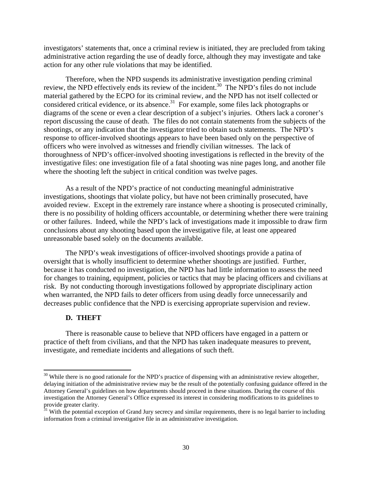<span id="page-32-0"></span>investigators' statements that, once a criminal review is initiated, they are precluded from taking administrative action regarding the use of deadly force, although they may investigate and take action for any other rule violations that may be identified.

Therefore, when the NPD suspends its administrative investigation pending criminal review, the NPD effectively ends its review of the incident.<sup>30</sup> The NPD's files do not include material gathered by the ECPO for its criminal review, and the NPD has not itself collected or considered critical evidence, or its absence.<sup>31</sup> For example, some files lack photographs or diagrams of the scene or even a clear description of a subject's injuries. Others lack a coroner's report discussing the cause of death. The files do not contain statements from the subjects of the shootings, or any indication that the investigator tried to obtain such statements. The NPD's response to officer-involved shootings appears to have been based only on the perspective of officers who were involved as witnesses and friendly civilian witnesses. The lack of thoroughness of NPD's officer-involved shooting investigations is reflected in the brevity of the investigative files: one investigation file of a fatal shooting was nine pages long, and another file where the shooting left the subject in critical condition was twelve pages.

As a result of the NPD's practice of not conducting meaningful administrative investigations, shootings that violate policy, but have not been criminally prosecuted, have avoided review. Except in the extremely rare instance where a shooting is prosecuted criminally, there is no possibility of holding officers accountable, or determining whether there were training or other failures. Indeed, while the NPD's lack of investigations made it impossible to draw firm conclusions about any shooting based upon the investigative file, at least one appeared unreasonable based solely on the documents available.

The NPD's weak investigations of officer-involved shootings provide a patina of oversight that is wholly insufficient to determine whether shootings are justified. Further, because it has conducted no investigation, the NPD has had little information to assess the need for changes to training, equipment, policies or tactics that may be placing officers and civilians at risk. By not conducting thorough investigations followed by appropriate disciplinary action when warranted, the NPD fails to deter officers from using deadly force unnecessarily and decreases public confidence that the NPD is exercising appropriate supervision and review.

#### **D. THEFT**

There is reasonable cause to believe that NPD officers have engaged in a pattern or practice of theft from civilians, and that the NPD has taken inadequate measures to prevent, investigate, and remediate incidents and allegations of such theft.

 $30$  While there is no good rationale for the NPD's practice of dispensing with an administrative review altogether, delaying initiation of the administrative review may be the result of the potentially confusing guidance offered in the Attorney General's guidelines on how departments should proceed in these situations. During the course of this investigation the Attorney General's Office expressed its interest in considering modifications to its guidelines to provide greater clarity.

 $31$  With the potential exception of Grand Jury secrecy and similar requirements, there is no legal barrier to including information from a criminal investigative file in an administrative investigation.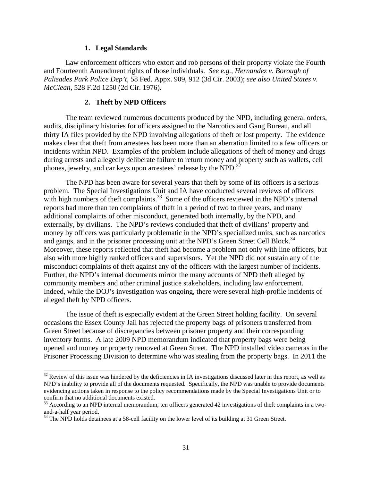#### **1. Legal Standards**

<span id="page-33-0"></span>Law enforcement officers who extort and rob persons of their property violate the Fourth and Fourteenth Amendment rights of those individuals. *See e.g., Hernandez v. Borough of Palisades Park Police Dep't*, 58 Fed. Appx. 909, 912 (3d Cir. 2003); *see also United States v. McClean*, 528 F.2d 1250 (2d Cir. 1976).

#### **2. Theft by NPD Officers**

phones, jewelry, and car keys upon arrestees' release by the NPD.<sup>32</sup> The team reviewed numerous documents produced by the NPD, including general orders, audits, disciplinary histories for officers assigned to the Narcotics and Gang Bureau, and all thirty IA files provided by the NPD involving allegations of theft or lost property. The evidence makes clear that theft from arrestees has been more than an aberration limited to a few officers or incidents within NPD. Examples of the problem include allegations of theft of money and drugs during arrests and allegedly deliberate failure to return money and property such as wallets, cell

and gangs, and in the prisoner processing unit at the NPD's Green Street Cell Block.<sup>34</sup> The NPD has been aware for several years that theft by some of its officers is a serious problem. The Special Investigations Unit and IA have conducted several reviews of officers with high numbers of theft complaints.<sup>33</sup> Some of the officers reviewed in the NPD's internal reports had more than ten complaints of theft in a period of two to three years, and many additional complaints of other misconduct, generated both internally, by the NPD, and externally, by civilians. The NPD's reviews concluded that theft of civilians' property and money by officers was particularly problematic in the NPD's specialized units, such as narcotics Moreover, these reports reflected that theft had become a problem not only with line officers, but also with more highly ranked officers and supervisors. Yet the NPD did not sustain any of the misconduct complaints of theft against any of the officers with the largest number of incidents. Further, the NPD's internal documents mirror the many accounts of NPD theft alleged by community members and other criminal justice stakeholders, including law enforcement. Indeed, while the DOJ's investigation was ongoing, there were several high-profile incidents of alleged theft by NPD officers.

The issue of theft is especially evident at the Green Street holding facility. On several occasions the Essex County Jail has rejected the property bags of prisoners transferred from Green Street because of discrepancies between prisoner property and their corresponding inventory forms. A late 2009 NPD memorandum indicated that property bags were being opened and money or property removed at Green Street. The NPD installed video cameras in the Prisoner Processing Division to determine who was stealing from the property bags. In 2011 the

 NPD's inability to provide all of the documents requested. Specifically, the NPD was unable to provide documents evidencing actions taken in response to the policy recommendations made by the Special Investigations Unit or to confirm that no additional documents existed.  $32$  Review of this issue was hindered by the deficiencies in IA investigations discussed later in this report, as well as

 $33$  According to an NPD internal memorandum, ten officers generated 42 investigations of theft complaints in a twoand-a-half year period.

<sup>&</sup>lt;sup>34</sup> The NPD holds detainees at a 58-cell facility on the lower level of its building at 31 Green Street.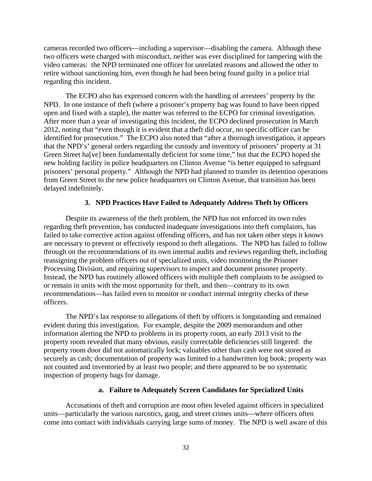<span id="page-34-0"></span>cameras recorded two officers—including a supervisor—disabling the camera. Although these two officers were charged with misconduct, neither was ever disciplined for tampering with the video cameras: the NPD terminated one officer for unrelated reasons and allowed the other to retire without sanctioning him, even though he had been being found guilty in a police trial regarding this incident.

The ECPO also has expressed concern with the handling of arrestees' property by the NPD. In one instance of theft (where a prisoner's property bag was found to have been ripped open and fixed with a staple), the matter was referred to the ECPO for criminal investigation. After more than a year of investigating this incident, the ECPO declined prosecution in March 2012, noting that "even though it is evident that a theft did occur, no specific officer can be identified for prosecution." The ECPO also noted that "after a thorough investigation, it appears that the NPD's' general orders regarding the custody and inventory of prisoners' property at 31 Green Street ha[ve] been fundamentally deficient for some time," but that the ECPO hoped the new holding facility in police headquarters on Clinton Avenue "is better equipped to safeguard prisoners' personal property." Although the NPD had planned to transfer its detention operations from Green Street to the new police headquarters on Clinton Avenue, that transition has been delayed indefinitely.

#### **3. NPD Practices Have Failed to Adequately Address Theft by Officers**

Despite its awareness of the theft problem, the NPD has not enforced its own rules regarding theft prevention, has conducted inadequate investigations into theft complaints, has failed to take corrective action against offending officers, and has not taken other steps it knows are necessary to prevent or effectively respond to theft allegations. The NPD has failed to follow through on the recommendations of its own internal audits and reviews regarding theft, including reassigning the problem officers out of specialized units, video monitoring the Prisoner Processing Division, and requiring supervisors to inspect and document prisoner property. Instead, the NPD has routinely allowed officers with multiple theft complaints to be assigned to or remain in units with the most opportunity for theft, and then—contrary to its own recommendations—has failed even to monitor or conduct internal integrity checks of these officers.

The NPD's lax response to allegations of theft by officers is longstanding and remained evident during this investigation. For example, despite the 2009 memorandum and other information alerting the NPD to problems in its property room, an early 2013 visit to the property room revealed that many obvious, easily correctable deficiencies still lingered: the property room door did not automatically lock; valuables other than cash were not stored as securely as cash; documentation of property was limited to a handwritten log book; property was not counted and inventoried by at least two people; and there appeared to be no systematic inspection of property bags for damage.

#### **a. Failure to Adequately Screen Candidates for Specialized Units**

Accusations of theft and corruption are most often leveled against officers in specialized units—particularly the various narcotics, gang, and street crimes units—where officers often come into contact with individuals carrying large sums of money. The NPD is well aware of this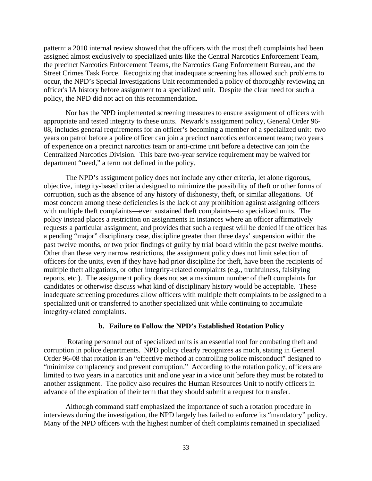<span id="page-35-0"></span>pattern: a 2010 internal review showed that the officers with the most theft complaints had been assigned almost exclusively to specialized units like the Central Narcotics Enforcement Team, the precinct Narcotics Enforcement Teams, the Narcotics Gang Enforcement Bureau, and the Street Crimes Task Force. Recognizing that inadequate screening has allowed such problems to occur, the NPD's Special Investigations Unit recommended a policy of thoroughly reviewing an officer's IA history before assignment to a specialized unit. Despite the clear need for such a policy, the NPD did not act on this recommendation.

Nor has the NPD implemented screening measures to ensure assignment of officers with appropriate and tested integrity to these units. Newark's assignment policy, General Order 96 08, includes general requirements for an officer's becoming a member of a specialized unit: two years on patrol before a police officer can join a precinct narcotics enforcement team; two years of experience on a precinct narcotics team or anti-crime unit before a detective can join the Centralized Narcotics Division. This bare two-year service requirement may be waived for department "need," a term not defined in the policy.

The NPD's assignment policy does not include any other criteria, let alone rigorous, objective, integrity-based criteria designed to minimize the possibility of theft or other forms of corruption, such as the absence of any history of dishonesty, theft, or similar allegations. Of most concern among these deficiencies is the lack of any prohibition against assigning officers with multiple theft complaints—even sustained theft complaints—to specialized units. The policy instead places a restriction on assignments in instances where an officer affirmatively requests a particular assignment, and provides that such a request will be denied if the officer has a pending "major" disciplinary case, discipline greater than three days' suspension within the past twelve months, or two prior findings of guilty by trial board within the past twelve months. Other than these very narrow restrictions, the assignment policy does not limit selection of officers for the units, even if they have had prior discipline for theft, have been the recipients of multiple theft allegations, or other integrity-related complaints (e.g., truthfulness, falsifying reports, etc.). The assignment policy does not set a maximum number of theft complaints for candidates or otherwise discuss what kind of disciplinary history would be acceptable. These inadequate screening procedures allow officers with multiple theft complaints to be assigned to a specialized unit or transferred to another specialized unit while continuing to accumulate integrity-related complaints.

#### **b. Failure to Follow the NPD's Established Rotation Policy**

 Rotating personnel out of specialized units is an essential tool for combating theft and corruption in police departments. NPD policy clearly recognizes as much, stating in General Order 96-08 that rotation is an "effective method at controlling police misconduct" designed to "minimize complacency and prevent corruption." According to the rotation policy, officers are limited to two years in a narcotics unit and one year in a vice unit before they must be rotated to another assignment. The policy also requires the Human Resources Unit to notify officers in advance of the expiration of their term that they should submit a request for transfer.

Although command staff emphasized the importance of such a rotation procedure in interviews during the investigation, the NPD largely has failed to enforce its "mandatory" policy. Many of the NPD officers with the highest number of theft complaints remained in specialized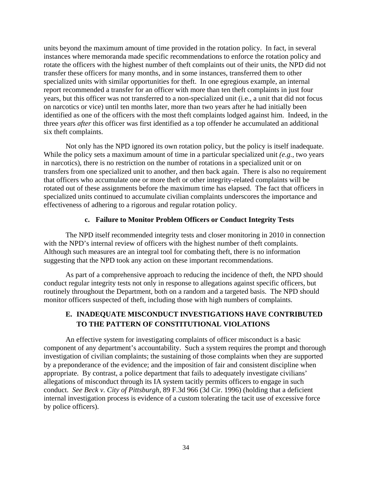<span id="page-36-0"></span>units beyond the maximum amount of time provided in the rotation policy. In fact, in several instances where memoranda made specific recommendations to enforce the rotation policy and rotate the officers with the highest number of theft complaints out of their units, the NPD did not transfer these officers for many months, and in some instances, transferred them to other specialized units with similar opportunities for theft. In one egregious example, an internal report recommended a transfer for an officer with more than ten theft complaints in just four years, but this officer was not transferred to a non-specialized unit (i.e., a unit that did not focus on narcotics or vice) until ten months later, more than two years after he had initially been identified as one of the officers with the most theft complaints lodged against him. Indeed, in the three years *after* this officer was first identified as a top offender he accumulated an additional six theft complaints.

Not only has the NPD ignored its own rotation policy, but the policy is itself inadequate. While the policy sets a maximum amount of time in a particular specialized unit *(e.g.,* two years in narcotics), there is no restriction on the number of rotations in a specialized unit or on transfers from one specialized unit to another, and then back again. There is also no requirement that officers who accumulate one or more theft or other integrity-related complaints will be rotated out of these assignments before the maximum time has elapsed. The fact that officers in specialized units continued to accumulate civilian complaints underscores the importance and effectiveness of adhering to a rigorous and regular rotation policy.

#### **c. Failure to Monitor Problem Officers or Conduct Integrity Tests**

The NPD itself recommended integrity tests and closer monitoring in 2010 in connection with the NPD's internal review of officers with the highest number of theft complaints. Although such measures are an integral tool for combating theft, there is no information suggesting that the NPD took any action on these important recommendations.

As part of a comprehensive approach to reducing the incidence of theft, the NPD should conduct regular integrity tests not only in response to allegations against specific officers, but routinely throughout the Department, both on a random and a targeted basis. The NPD should monitor officers suspected of theft, including those with high numbers of complaints.

## **E. INADEQUATE MISCONDUCT INVESTIGATIONS HAVE CONTRIBUTED TO THE PATTERN OF CONSTITUTIONAL VIOLATIONS**

An effective system for investigating complaints of officer misconduct is a basic component of any department's accountability. Such a system requires the prompt and thorough investigation of civilian complaints; the sustaining of those complaints when they are supported by a preponderance of the evidence; and the imposition of fair and consistent discipline when appropriate. By contrast, a police department that fails to adequately investigate civilians' allegations of misconduct through its IA system tacitly permits officers to engage in such conduct. *See Beck v. City of Pittsburgh*, 89 F.3d 966 (3d Cir. 1996) (holding that a deficient internal investigation process is evidence of a custom tolerating the tacit use of excessive force by police officers).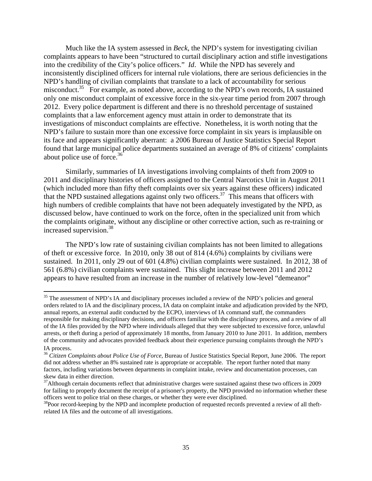about police use of force.<sup>36</sup> Much like the IA system assessed in *Beck*, the NPD's system for investigating civilian complaints appears to have been "structured to curtail disciplinary action and stifle investigations into the credibility of the City's police officers." *Id*. While the NPD has severely and inconsistently disciplined officers for internal rule violations, there are serious deficiencies in the NPD's handling of civilian complaints that translate to a lack of accountability for serious misconduct.<sup>35</sup> For example, as noted above, according to the NPD's own records, IA sustained only one misconduct complaint of excessive force in the six-year time period from 2007 through 2012. Every police department is different and there is no threshold percentage of sustained complaints that a law enforcement agency must attain in order to demonstrate that its investigations of misconduct complaints are effective. Nonetheless, it is worth noting that the NPD's failure to sustain more than one excessive force complaint in six years is implausible on its face and appears significantly aberrant: a 2006 Bureau of Justice Statistics Special Report found that large municipal police departments sustained an average of 8% of citizens' complaints

increased supervision.<sup>38</sup> Similarly, summaries of IA investigations involving complaints of theft from 2009 to 2011 and disciplinary histories of officers assigned to the Central Narcotics Unit in August 2011 (which included more than fifty theft complaints over six years against these officers) indicated that the NPD sustained allegations against only two officers.<sup>37</sup> This means that officers with high numbers of credible complaints that have not been adequately investigated by the NPD, as discussed below, have continued to work on the force, often in the specialized unit from which the complaints originate, without any discipline or other corrective action, such as re-training or

The NPD's low rate of sustaining civilian complaints has not been limited to allegations of theft or excessive force. In 2010, only 38 out of 814 (4.6%) complaints by civilians were sustained. In 2011, only 29 out of 601 (4.8%) civilian complaints were sustained. In 2012, 38 of 561 (6.8%) civilian complaints were sustained. This slight increase between 2011 and 2012 appears to have resulted from an increase in the number of relatively low-level "demeanor"

 orders related to IA and the disciplinary process, IA data on complaint intake and adjudication provided by the NPD, responsible for making disciplinary decisions, and officers familiar with the disciplinary process, and a review of all <sup>35</sup> The assessment of NPD's IA and disciplinary processes included a review of the NPD's policies and general annual reports, an external audit conducted by the ECPO, interviews of IA command staff, the commanders of the IA files provided by the NPD where individuals alleged that they were subjected to excessive force, unlawful arrests, or theft during a period of approximately 18 months, from January 2010 to June 2011. In addition, members of the community and advocates provided feedback about their experience pursuing complaints through the NPD's

skew data in either direction. IA process.<br><sup>36</sup> *Citizen Complaints about Police Use of Force*, Bureau of Justice Statistics Special Report, June 2006. The report did not address whether an 8% sustained rate is appropriate or acceptable. The report further noted that many factors, including variations between departments in complaint intake, review and documentation processes, can

officers went to police trial on these charges, or whether they were ever disciplined.<br><sup>38</sup>Poor record-keeping by the NPD and incomplete production of requested records prevented a review of all theft- $37$ Although certain documents reflect that administrative charges were sustained against these two officers in 2009 for failing to properly document the receipt of a prisoner's property, the NPD provided no information whether these officers went to police trial on these charges, or whether they were ever disciplined.

related IA files and the outcome of all investigations.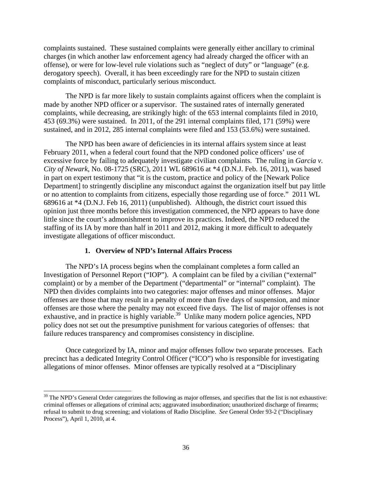<span id="page-38-0"></span>complaints sustained. These sustained complaints were generally either ancillary to criminal charges (in which another law enforcement agency had already charged the officer with an offense), or were for low-level rule violations such as "neglect of duty" or "language" (e.g. derogatory speech). Overall, it has been exceedingly rare for the NPD to sustain citizen complaints of misconduct, particularly serious misconduct.

The NPD is far more likely to sustain complaints against officers when the complaint is made by another NPD officer or a supervisor. The sustained rates of internally generated complaints, while decreasing, are strikingly high: of the 653 internal complaints filed in 2010, 453 (69.3%) were sustained. In 2011, of the 291 internal complaints filed, 171 (59%) were sustained, and in 2012, 285 internal complaints were filed and 153 (53.6%) were sustained.

The NPD has been aware of deficiencies in its internal affairs system since at least February 2011, when a federal court found that the NPD condoned police officers' use of excessive force by failing to adequately investigate civilian complaints. The ruling in *Garcia v. City of Newark*, No. 08-1725 (SRC), 2011 WL 689616 at \*4 (D.N.J. Feb. 16, 2011), was based in part on expert testimony that "it is the custom, practice and policy of the [Newark Police Department] to stringently discipline any misconduct against the organization itself but pay little or no attention to complaints from citizens, especially those regarding use of force." 2011 WL 689616 at \*4 (D.N.J. Feb 16, 2011) (unpublished). Although, the district court issued this opinion just three months before this investigation commenced, the NPD appears to have done little since the court's admonishment to improve its practices. Indeed, the NPD reduced the staffing of its IA by more than half in 2011 and 2012, making it more difficult to adequately investigate allegations of officer misconduct.

#### **1. Overview of NPD's Internal Affairs Process**

The NPD's IA process begins when the complainant completes a form called an Investigation of Personnel Report ("IOP"). A complaint can be filed by a civilian ("external" complaint) or by a member of the Department ("departmental" or "internal" complaint). The NPD then divides complaints into two categories: major offenses and minor offenses. Major offenses are those that may result in a penalty of more than five days of suspension, and minor offenses are those where the penalty may not exceed five days. The list of major offenses is not exhaustive, and in practice is highly variable.<sup>39</sup> Unlike many modern police agencies, NPD policy does not set out the presumptive punishment for various categories of offenses: that failure reduces transparency and compromises consistency in discipline.

Once categorized by IA, minor and major offenses follow two separate processes. Each precinct has a dedicated Integrity Control Officer ("ICO") who is responsible for investigating allegations of minor offenses. Minor offenses are typically resolved at a "Disciplinary

Process"), April 1, 2010, at 4.  $39$  The NPD's General Order categorizes the following as major offenses, and specifies that the list is not exhaustive: criminal offenses or allegations of criminal acts; aggravated insubordination; unauthorized discharge of firearms; refusal to submit to drug screening; and violations of Radio Discipline. *See* General Order 93-2 ("Disciplinary Process"), April 1, 2010, at 4.  $\frac{36}{5}$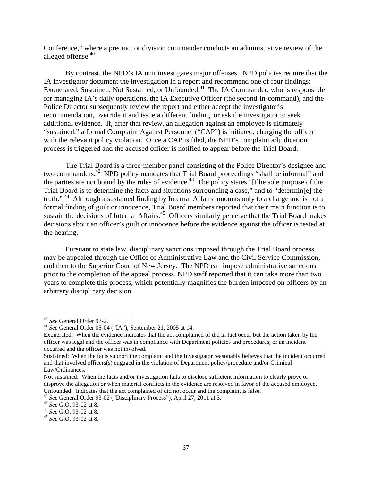alleged offense.<sup>40</sup> Conference," where a precinct or division commander conducts an administrative review of the

process is triggered and the accused officer is notified to appear before the Trial Board. By contrast, the NPD's IA unit investigates major offenses. NPD policies require that the IA investigator document the investigation in a report and recommend one of four findings: Exonerated, Sustained, Not Sustained, or Unfounded.<sup>41</sup> The IA Commander, who is responsible for managing IA's daily operations, the IA Executive Officer (the second-in-command), and the Police Director subsequently review the report and either accept the investigator's recommendation, override it and issue a different finding, or ask the investigator to seek additional evidence. If, after that review, an allegation against an employee is ultimately "sustained," a formal Complaint Against Personnel ("CAP") is initiated, charging the officer with the relevant policy violation. Once a CAP is filed, the NPD's complaint adjudication

The Trial Board is a three-member panel consisting of the Police Director's designee and two commanders.42 NPD policy mandates that Trial Board proceedings "shall be informal" and the parties are not bound by the rules of evidence.<sup>43</sup> The policy states "[t]he sole purpose of the Trial Board is to determine the facts and situations surrounding a case," and to "determin[e] the truth."<sup>44</sup> Although a sustained finding by Internal Affairs amounts only to a charge and is not a formal finding of guilt or innocence, Trial Board members reported that their main function is to sustain the decisions of Internal Affairs.<sup>45</sup> Officers similarly perceive that the Trial Board makes decisions about an officer's guilt or innocence before the evidence against the officer is tested at the hearing.

Pursuant to state law, disciplinary sanctions imposed through the Trial Board process may be appealed through the Office of Administrative Law and the Civil Service Commission, and then to the Superior Court of New Jersey. The NPD can impose administrative sanctions prior to the completion of the appeal process. NPD staff reported that it can take more than two years to complete this process, which potentially magnifies the burden imposed on officers by an arbitrary disciplinary decision.

<sup>40</sup>*See* General Order 93-2.

 <sup>41</sup>*See* General Order 05-04 ("IA"), September 21, 2005 at 14:

 Exonerated: When the evidence indicates that the act complained of did in fact occur but the action taken by the occurred and the officer was not involved. officer was legal and the officer was in compliance with Department policies and procedures, or an incident

 Sustained: When the facts support the complaint and the Investigator reasonably believes that the incident occurred and that involved officers(s) engaged in the violation of Department policy/procedure and/or Criminal Law/Ordinances.

 Unfounded: Indicates that the act complained of did not occur and the complaint is false. Not sustained: When the facts and/or investigation fails to disclose sufficient information to clearly prove or disprove the allegation or when material conflicts in the evidence are resolved in favor of the accused employee.

Unfounded: Indicates that the act complained of did not occur and the complaint is false.<br><sup>42</sup> See General Order 93-02 ("Disciplinary Process"), April 27, 2011 at 3. <sup>42</sup> See General Order 93-02 ("Disciplinary Process"), April 27, 2011 at 3.<br><sup>43</sup> See G.O. 93-02 at 8.

<sup>44</sup>*See* G.O. 93-02 at 8.

<sup>45</sup>*See* G.O. 93-02 at 8.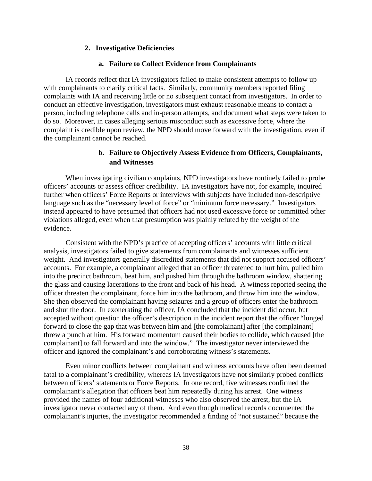#### **2. Investigative Deficiencies**

#### **a. Failure to Collect Evidence from Complainants**

<span id="page-40-0"></span>IA records reflect that IA investigators failed to make consistent attempts to follow up with complainants to clarify critical facts. Similarly, community members reported filing complaints with IA and receiving little or no subsequent contact from investigators. In order to conduct an effective investigation, investigators must exhaust reasonable means to contact a person, including telephone calls and in-person attempts, and document what steps were taken to do so. Moreover, in cases alleging serious misconduct such as excessive force, where the complaint is credible upon review, the NPD should move forward with the investigation, even if the complainant cannot be reached.

## **b. Failure to Objectively Assess Evidence from Officers, Complainants, and Witnesses**

When investigating civilian complaints, NPD investigators have routinely failed to probe officers' accounts or assess officer credibility. IA investigators have not, for example, inquired further when officers' Force Reports or interviews with subjects have included non-descriptive language such as the "necessary level of force" or "minimum force necessary." Investigators instead appeared to have presumed that officers had not used excessive force or committed other violations alleged, even when that presumption was plainly refuted by the weight of the evidence.

Consistent with the NPD's practice of accepting officers' accounts with little critical analysis, investigators failed to give statements from complainants and witnesses sufficient weight. And investigators generally discredited statements that did not support accused officers' accounts. For example, a complainant alleged that an officer threatened to hurt him, pulled him into the precinct bathroom, beat him, and pushed him through the bathroom window, shattering the glass and causing lacerations to the front and back of his head. A witness reported seeing the officer threaten the complainant, force him into the bathroom, and throw him into the window. She then observed the complainant having seizures and a group of officers enter the bathroom and shut the door. In exonerating the officer, IA concluded that the incident did occur, but accepted without question the officer's description in the incident report that the officer "lunged forward to close the gap that was between him and [the complainant] after [the complainant] threw a punch at him. His forward momentum caused their bodies to collide, which caused [the complainant] to fall forward and into the window." The investigator never interviewed the officer and ignored the complainant's and corroborating witness's statements.

Even minor conflicts between complainant and witness accounts have often been deemed fatal to a complainant's credibility, whereas IA investigators have not similarly probed conflicts between officers' statements or Force Reports. In one record, five witnesses confirmed the complainant's allegation that officers beat him repeatedly during his arrest. One witness provided the names of four additional witnesses who also observed the arrest, but the IA investigator never contacted any of them. And even though medical records documented the complainant's injuries, the investigator recommended a finding of "not sustained" because the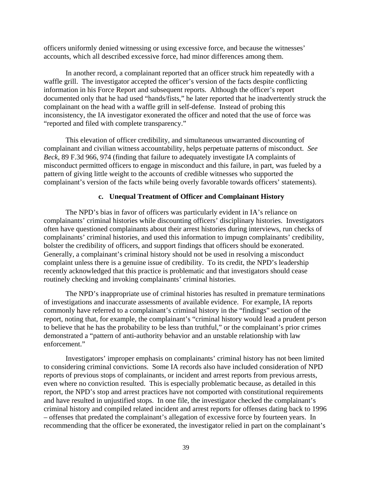<span id="page-41-0"></span>officers uniformly denied witnessing or using excessive force, and because the witnesses' accounts, which all described excessive force, had minor differences among them.

In another record, a complainant reported that an officer struck him repeatedly with a waffle grill. The investigator accepted the officer's version of the facts despite conflicting information in his Force Report and subsequent reports. Although the officer's report documented only that he had used "hands/fists," he later reported that he inadvertently struck the complainant on the head with a waffle grill in self-defense. Instead of probing this inconsistency, the IA investigator exonerated the officer and noted that the use of force was "reported and filed with complete transparency."

This elevation of officer credibility, and simultaneous unwarranted discounting of complainant and civilian witness accountability, helps perpetuate patterns of misconduct. *See Beck*, 89 F.3d 966, 974 (finding that failure to adequately investigate IA complaints of misconduct permitted officers to engage in misconduct and this failure, in part, was fueled by a pattern of giving little weight to the accounts of credible witnesses who supported the complainant's version of the facts while being overly favorable towards officers' statements).

#### **c. Unequal Treatment of Officer and Complainant History**

bolster the credibility of officers, and support findings that officers should be exonerated. The NPD's bias in favor of officers was particularly evident in IA's reliance on complainants' criminal histories while discounting officers' disciplinary histories. Investigators often have questioned complainants about their arrest histories during interviews, run checks of complainants' criminal histories, and used this information to impugn complainants' credibility, Generally, a complainant's criminal history should not be used in resolving a misconduct complaint unless there is a genuine issue of credibility. To its credit, the NPD's leadership recently acknowledged that this practice is problematic and that investigators should cease routinely checking and invoking complainants' criminal histories.

The NPD's inappropriate use of criminal histories has resulted in premature terminations of investigations and inaccurate assessments of available evidence. For example, IA reports commonly have referred to a complainant's criminal history in the "findings" section of the report, noting that, for example, the complainant's "criminal history would lead a prudent person to believe that he has the probability to be less than truthful," or the complainant's prior crimes demonstrated a "pattern of anti-authority behavior and an unstable relationship with law enforcement."

Investigators' improper emphasis on complainants' criminal history has not been limited to considering criminal convictions. Some IA records also have included consideration of NPD reports of previous stops of complainants, or incident and arrest reports from previous arrests, even where no conviction resulted. This is especially problematic because, as detailed in this report, the NPD's stop and arrest practices have not comported with constitutional requirements and have resulted in unjustified stops. In one file, the investigator checked the complainant's criminal history and compiled related incident and arrest reports for offenses dating back to 1996 – offenses that predated the complainant's allegation of excessive force by fourteen years. In recommending that the officer be exonerated, the investigator relied in part on the complainant's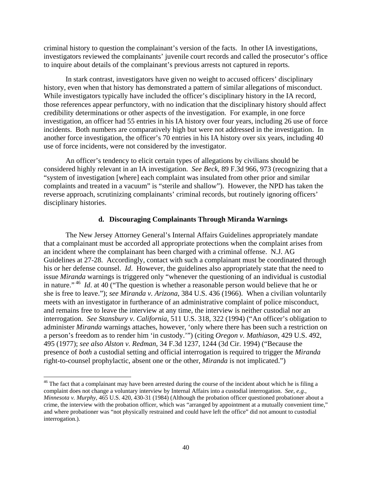<span id="page-42-0"></span>criminal history to question the complainant's version of the facts. In other IA investigations, investigators reviewed the complainants' juvenile court records and called the prosecutor's office to inquire about details of the complainant's previous arrests not captured in reports.

In stark contrast, investigators have given no weight to accused officers' disciplinary history, even when that history has demonstrated a pattern of similar allegations of misconduct. While investigators typically have included the officer's disciplinary history in the IA record, those references appear perfunctory, with no indication that the disciplinary history should affect credibility determinations or other aspects of the investigation. For example, in one force investigation, an officer had 55 entries in his IA history over four years, including 26 use of force incidents. Both numbers are comparatively high but were not addressed in the investigation. In another force investigation, the officer's 70 entries in his IA history over six years, including 40 use of force incidents, were not considered by the investigator.

An officer's tendency to elicit certain types of allegations by civilians should be considered highly relevant in an IA investigation. *See Beck*, 89 F.3d 966, 973 (recognizing that a "system of investigation [where] each complaint was insulated from other prior and similar complaints and treated in a vacuum" is "sterile and shallow"). However, the NPD has taken the reverse approach, scrutinizing complainants' criminal records, but routinely ignoring officers' disciplinary histories.

#### **d. Discouraging Complainants Through Miranda Warnings**

 in nature."<sup>46</sup>*Id*. at 40 ("The question is whether a reasonable person would believe that he or The New Jersey Attorney General's Internal Affairs Guidelines appropriately mandate that a complainant must be accorded all appropriate protections when the complaint arises from an incident where the complainant has been charged with a criminal offense. N.J. AG Guidelines at 27-28. Accordingly, contact with such a complainant must be coordinated through his or her defense counsel. *Id*. However, the guidelines also appropriately state that the need to issue *Miranda* warnings is triggered only "whenever the questioning of an individual is custodial she is free to leave."); *see Miranda v. Arizona*, 384 U.S. 436 (1966). When a civilian voluntarily meets with an investigator in furtherance of an administrative complaint of police misconduct, and remains free to leave the interview at any time, the interview is neither custodial nor an interrogation. *See Stansbury v. California*, 511 U.S. 318, 322 (1994) ("An officer's obligation to administer *Miranda* warnings attaches, however, 'only where there has been such a restriction on a person's freedom as to render him 'in custody.'") (citing *Oregon v. Mathiason*, 429 U.S. 492, 495 (1977); *see also Alston v. Redman*, 34 F.3d 1237, 1244 (3d Cir. 1994) ("Because the presence of *both* a custodial setting and official interrogation is required to trigger the *Miranda*  right-to-counsel prophylactic, absent one or the other, *Miranda* is not implicated.")

 $46$  The fact that a complainant may have been arrested during the course of the incident about which he is filing a complaint does not change a voluntary interview by Internal Affairs into a custodial interrogation. *See, e.g.*, crime, the interview with the probation officer, which was "arranged by appointment at a mutually convenient time," *Minnesota v. Murphy*, 465 U.S. 420, 430-31 (1984) (Although the probation officer questioned probationer about a and where probationer was "not physically restrained and could have left the office" did not amount to custodial interrogation.).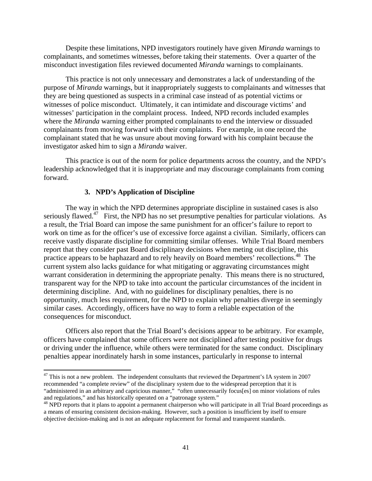<span id="page-43-0"></span>Despite these limitations, NPD investigators routinely have given *Miranda* warnings to complainants, and sometimes witnesses, before taking their statements. Over a quarter of the misconduct investigation files reviewed documented *Miranda* warnings to complainants.

This practice is not only unnecessary and demonstrates a lack of understanding of the purpose of *Miranda* warnings, but it inappropriately suggests to complainants and witnesses that they are being questioned as suspects in a criminal case instead of as potential victims or witnesses of police misconduct. Ultimately, it can intimidate and discourage victims' and witnesses' participation in the complaint process. Indeed, NPD records included examples where the *Miranda* warning either prompted complainants to end the interview or dissuaded complainants from moving forward with their complaints. For example, in one record the complainant stated that he was unsure about moving forward with his complaint because the investigator asked him to sign a *Miranda* waiver.

This practice is out of the norm for police departments across the country, and the NPD's leadership acknowledged that it is inappropriate and may discourage complainants from coming forward.

#### **3. NPD's Application of Discipline**

The way in which the NPD determines appropriate discipline in sustained cases is also seriously flawed.<sup>47</sup> First, the NPD has no set presumptive penalties for particular violations. As a result, the Trial Board can impose the same punishment for an officer's failure to report to work on time as for the officer's use of excessive force against a civilian. Similarly, officers can receive vastly disparate discipline for committing similar offenses. While Trial Board members report that they consider past Board disciplinary decisions when meting out discipline, this practice appears to be haphazard and to rely heavily on Board members' recollections.<sup>48</sup> The current system also lacks guidance for what mitigating or aggravating circumstances might warrant consideration in determining the appropriate penalty. This means there is no structured, transparent way for the NPD to take into account the particular circumstances of the incident in determining discipline. And, with no guidelines for disciplinary penalties, there is no opportunity, much less requirement, for the NPD to explain why penalties diverge in seemingly similar cases. Accordingly, officers have no way to form a reliable expectation of the consequences for misconduct.

Officers also report that the Trial Board's decisions appear to be arbitrary. For example, officers have complained that some officers were not disciplined after testing positive for drugs or driving under the influence, while others were terminated for the same conduct. Disciplinary penalties appear inordinately harsh in some instances, particularly in response to internal

 "administered in an arbitrary and capricious manner," "often unnecessarily focus[es] on minor violations of rules  $47$  This is not a new problem. The independent consultants that reviewed the Department's IA system in 2007 recommended "a complete review" of the disciplinary system due to the widespread perception that it is

and regulations," and has historically operated on a "patronage system." 48 NPD reports that it plans to appoint a permanent chairperson who will participate in all Trial Board proceedings as a means of ensuring consistent decision-making. However, such a position is insufficient by itself to ensure objective decision-making and is not an adequate replacement for formal and transparent standards.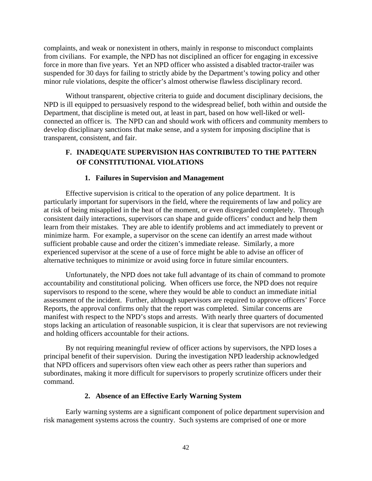<span id="page-44-0"></span>complaints, and weak or nonexistent in others, mainly in response to misconduct complaints from civilians. For example, the NPD has not disciplined an officer for engaging in excessive force in more than five years. Yet an NPD officer who assisted a disabled tractor-trailer was suspended for 30 days for failing to strictly abide by the Department's towing policy and other minor rule violations, despite the officer's almost otherwise flawless disciplinary record.

Without transparent, objective criteria to guide and document disciplinary decisions, the NPD is ill equipped to persuasively respond to the widespread belief, both within and outside the Department, that discipline is meted out, at least in part, based on how well-liked or wellconnected an officer is. The NPD can and should work with officers and community members to develop disciplinary sanctions that make sense, and a system for imposing discipline that is transparent, consistent, and fair.

## **F. INADEQUATE SUPERVISION HAS CONTRIBUTED TO THE PATTERN OF CONSTITUTIONAL VIOLATIONS**

## **1. Failures in Supervision and Management**

Effective supervision is critical to the operation of any police department. It is particularly important for supervisors in the field, where the requirements of law and policy are at risk of being misapplied in the heat of the moment, or even disregarded completely. Through consistent daily interactions, supervisors can shape and guide officers' conduct and help them learn from their mistakes. They are able to identify problems and act immediately to prevent or minimize harm. For example, a supervisor on the scene can identify an arrest made without sufficient probable cause and order the citizen's immediate release. Similarly, a more experienced supervisor at the scene of a use of force might be able to advise an officer of alternative techniques to minimize or avoid using force in future similar encounters.

Unfortunately, the NPD does not take full advantage of its chain of command to promote accountability and constitutional policing. When officers use force, the NPD does not require supervisors to respond to the scene, where they would be able to conduct an immediate initial assessment of the incident. Further, although supervisors are required to approve officers' Force Reports, the approval confirms only that the report was completed. Similar concerns are manifest with respect to the NPD's stops and arrests. With nearly three quarters of documented stops lacking an articulation of reasonable suspicion, it is clear that supervisors are not reviewing and holding officers accountable for their actions.

By not requiring meaningful review of officer actions by supervisors, the NPD loses a principal benefit of their supervision. During the investigation NPD leadership acknowledged that NPD officers and supervisors often view each other as peers rather than superiors and subordinates, making it more difficult for supervisors to properly scrutinize officers under their command.

#### **2. Absence of an Effective Early Warning System**

Early warning systems are a significant component of police department supervision and risk management systems across the country. Such systems are comprised of one or more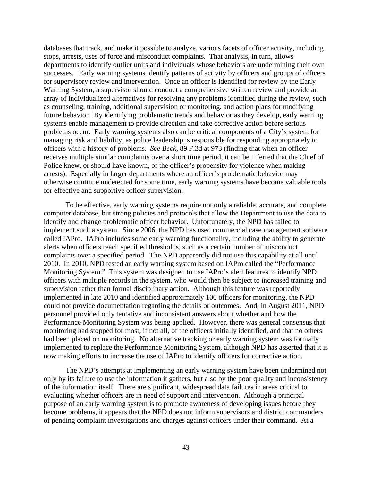databases that track, and make it possible to analyze, various facets of officer activity, including stops, arrests, uses of force and misconduct complaints. That analysis, in turn, allows departments to identify outlier units and individuals whose behaviors are undermining their own successes. Early warning systems identify patterns of activity by officers and groups of officers for supervisory review and intervention. Once an officer is identified for review by the Early Warning System, a supervisor should conduct a comprehensive written review and provide an array of individualized alternatives for resolving any problems identified during the review, such as counseling, training, additional supervision or monitoring, and action plans for modifying future behavior. By identifying problematic trends and behavior as they develop, early warning systems enable management to provide direction and take corrective action before serious problems occur. Early warning systems also can be critical components of a City's system for managing risk and liability, as police leadership is responsible for responding appropriately to officers with a history of problems. *See Beck*, 89 F.3d at 973 (finding that when an officer receives multiple similar complaints over a short time period, it can be inferred that the Chief of Police knew, or should have known, of the officer's propensity for violence when making arrests). Especially in larger departments where an officer's problematic behavior may otherwise continue undetected for some time, early warning systems have become valuable tools for effective and supportive officer supervision.

To be effective, early warning systems require not only a reliable, accurate, and complete computer database, but strong policies and protocols that allow the Department to use the data to identify and change problematic officer behavior. Unfortunately, the NPD has failed to implement such a system. Since 2006, the NPD has used commercial case management software called IAPro. IAPro includes some early warning functionality, including the ability to generate alerts when officers reach specified thresholds, such as a certain number of misconduct complaints over a specified period. The NPD apparently did not use this capability at all until 2010. In 2010, NPD tested an early warning system based on IAPro called the "Performance Monitoring System." This system was designed to use IAPro's alert features to identify NPD officers with multiple records in the system, who would then be subject to increased training and supervision rather than formal disciplinary action. Although this feature was reportedly implemented in late 2010 and identified approximately 100 officers for monitoring, the NPD could not provide documentation regarding the details or outcomes. And, in August 2011, NPD personnel provided only tentative and inconsistent answers about whether and how the Performance Monitoring System was being applied. However, there was general consensus that monitoring had stopped for most, if not all, of the officers initially identified, and that no others had been placed on monitoring. No alternative tracking or early warning system was formally implemented to replace the Performance Monitoring System, although NPD has asserted that it is now making efforts to increase the use of IAPro to identify officers for corrective action.

The NPD's attempts at implementing an early warning system have been undermined not only by its failure to use the information it gathers, but also by the poor quality and inconsistency of the information itself. There are significant, widespread data failures in areas critical to evaluating whether officers are in need of support and intervention. Although a principal purpose of an early warning system is to promote awareness of developing issues before they become problems, it appears that the NPD does not inform supervisors and district commanders of pending complaint investigations and charges against officers under their command. At a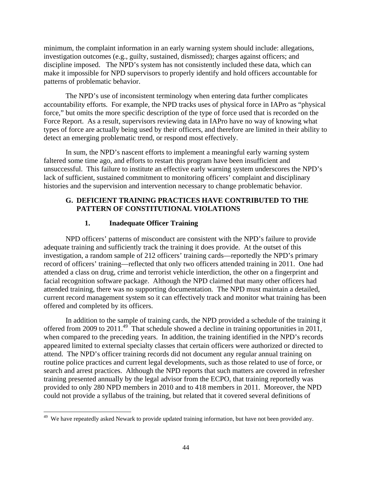<span id="page-46-0"></span>minimum, the complaint information in an early warning system should include: allegations, investigation outcomes (e.g., guilty, sustained, dismissed); charges against officers; and discipline imposed. The NPD's system has not consistently included these data, which can make it impossible for NPD supervisors to properly identify and hold officers accountable for patterns of problematic behavior.

The NPD's use of inconsistent terminology when entering data further complicates accountability efforts. For example, the NPD tracks uses of physical force in IAPro as "physical force," but omits the more specific description of the type of force used that is recorded on the Force Report. As a result, supervisors reviewing data in IAPro have no way of knowing what types of force are actually being used by their officers, and therefore are limited in their ability to detect an emerging problematic trend, or respond most effectively.

In sum, the NPD's nascent efforts to implement a meaningful early warning system faltered some time ago, and efforts to restart this program have been insufficient and unsuccessful. This failure to institute an effective early warning system underscores the NPD's lack of sufficient, sustained commitment to monitoring officers' complaint and disciplinary histories and the supervision and intervention necessary to change problematic behavior.

## **G. DEFICIENT TRAINING PRACTICES HAVE CONTRIBUTED TO THE PATTERN OF CONSTITUTIONAL VIOLATIONS**

## **1. Inadequate Officer Training**

NPD officers' patterns of misconduct are consistent with the NPD's failure to provide adequate training and sufficiently track the training it does provide. At the outset of this investigation, a random sample of 212 officers' training cards—reportedly the NPD's primary record of officers' training—reflected that only two officers attended training in 2011. One had attended a class on drug, crime and terrorist vehicle interdiction, the other on a fingerprint and facial recognition software package. Although the NPD claimed that many other officers had attended training, there was no supporting documentation. The NPD must maintain a detailed, current record management system so it can effectively track and monitor what training has been offered and completed by its officers.

In addition to the sample of training cards, the NPD provided a schedule of the training it offered from 2009 to 2011.<sup>49</sup> That schedule showed a decline in training opportunities in 2011, when compared to the preceding years. In addition, the training identified in the NPD's records appeared limited to external specialty classes that certain officers were authorized or directed to attend. The NPD's officer training records did not document any regular annual training on routine police practices and current legal developments, such as those related to use of force, or search and arrest practices. Although the NPD reports that such matters are covered in refresher training presented annually by the legal advisor from the ECPO, that training reportedly was provided to only 280 NPD members in 2010 and to 418 members in 2011. Moreover, the NPD could not provide a syllabus of the training, but related that it covered several definitions of

<sup>&</sup>lt;sup>49</sup> We have repeatedly asked Newark to provide updated training information, but have not been provided any.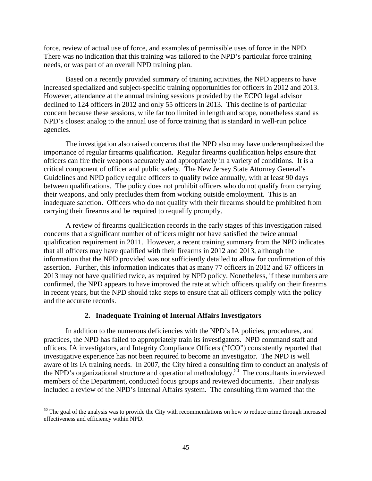<span id="page-47-0"></span>force, review of actual use of force, and examples of permissible uses of force in the NPD. There was no indication that this training was tailored to the NPD's particular force training needs, or was part of an overall NPD training plan.

Based on a recently provided summary of training activities, the NPD appears to have increased specialized and subject-specific training opportunities for officers in 2012 and 2013. However, attendance at the annual training sessions provided by the ECPO legal advisor declined to 124 officers in 2012 and only 55 officers in 2013. This decline is of particular concern because these sessions, while far too limited in length and scope, nonetheless stand as NPD's closest analog to the annual use of force training that is standard in well-run police agencies.

The investigation also raised concerns that the NPD also may have underemphasized the importance of regular firearms qualification. Regular firearms qualification helps ensure that officers can fire their weapons accurately and appropriately in a variety of conditions. It is a critical component of officer and public safety. The New Jersey State Attorney General's Guidelines and NPD policy require officers to qualify twice annually, with at least 90 days between qualifications. The policy does not prohibit officers who do not qualify from carrying their weapons, and only precludes them from working outside employment. This is an inadequate sanction. Officers who do not qualify with their firearms should be prohibited from carrying their firearms and be required to requalify promptly.

 and the accurate records. A review of firearms qualification records in the early stages of this investigation raised concerns that a significant number of officers might not have satisfied the twice annual qualification requirement in 2011. However, a recent training summary from the NPD indicates that all officers may have qualified with their firearms in 2012 and 2013, although the information that the NPD provided was not sufficiently detailed to allow for confirmation of this assertion. Further, this information indicates that as many 77 officers in 2012 and 67 officers in 2013 may not have qualified twice, as required by NPD policy. Nonetheless, if these numbers are confirmed, the NPD appears to have improved the rate at which officers qualify on their firearms in recent years, but the NPD should take steps to ensure that all officers comply with the policy

#### **2. Inadequate Training of Internal Affairs Investigators**

In addition to the numerous deficiencies with the NPD's IA policies, procedures, and practices, the NPD has failed to appropriately train its investigators. NPD command staff and officers, IA investigators, and Integrity Compliance Officers ("ICO") consistently reported that investigative experience has not been required to become an investigator. The NPD is well aware of its IA training needs. In 2007, the City hired a consulting firm to conduct an analysis of the NPD's organizational structure and operational methodology.<sup>50</sup> The consultants interviewed members of the Department, conducted focus groups and reviewed documents. Their analysis included a review of the NPD's Internal Affairs system. The consulting firm warned that the

 $50$  The goal of the analysis was to provide the City with recommendations on how to reduce crime through increased effectiveness and efficiency within NPD.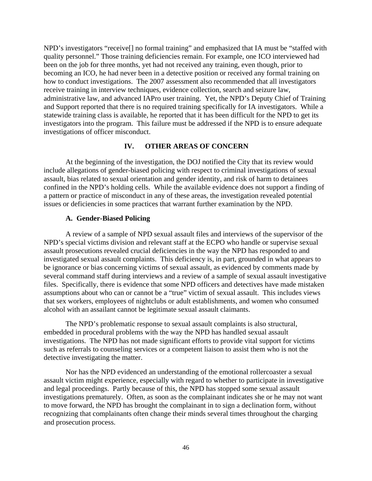<span id="page-48-0"></span>NPD's investigators "receive[] no formal training" and emphasized that IA must be "staffed with quality personnel." Those training deficiencies remain. For example, one ICO interviewed had been on the job for three months, yet had not received any training, even though, prior to becoming an ICO, he had never been in a detective position or received any formal training on how to conduct investigations. The 2007 assessment also recommended that all investigators receive training in interview techniques, evidence collection, search and seizure law, administrative law, and advanced IAPro user training. Yet, the NPD's Deputy Chief of Training and Support reported that there is no required training specifically for IA investigators. While a statewide training class is available, he reported that it has been difficult for the NPD to get its investigators into the program. This failure must be addressed if the NPD is to ensure adequate investigations of officer misconduct.

#### **IV. OTHER AREAS OF CONCERN**

At the beginning of the investigation, the DOJ notified the City that its review would include allegations of gender-biased policing with respect to criminal investigations of sexual assault, bias related to sexual orientation and gender identity, and risk of harm to detainees confined in the NPD's holding cells. While the available evidence does not support a finding of a pattern or practice of misconduct in any of these areas, the investigation revealed potential issues or deficiencies in some practices that warrant further examination by the NPD.

#### **A. Gender-Biased Policing**

A review of a sample of NPD sexual assault files and interviews of the supervisor of the NPD's special victims division and relevant staff at the ECPO who handle or supervise sexual assault prosecutions revealed crucial deficiencies in the way the NPD has responded to and investigated sexual assault complaints. This deficiency is, in part, grounded in what appears to be ignorance or bias concerning victims of sexual assault, as evidenced by comments made by several command staff during interviews and a review of a sample of sexual assault investigative files. Specifically, there is evidence that some NPD officers and detectives have made mistaken assumptions about who can or cannot be a "true" victim of sexual assault. This includes views that sex workers, employees of nightclubs or adult establishments, and women who consumed alcohol with an assailant cannot be legitimate sexual assault claimants.

The NPD's problematic response to sexual assault complaints is also structural, embedded in procedural problems with the way the NPD has handled sexual assault investigations. The NPD has not made significant efforts to provide vital support for victims such as referrals to counseling services or a competent liaison to assist them who is not the detective investigating the matter.

Nor has the NPD evidenced an understanding of the emotional rollercoaster a sexual assault victim might experience, especially with regard to whether to participate in investigative and legal proceedings. Partly because of this, the NPD has stopped some sexual assault investigations prematurely. Often, as soon as the complainant indicates she or he may not want to move forward, the NPD has brought the complainant in to sign a declination form, without recognizing that complainants often change their minds several times throughout the charging and prosecution process.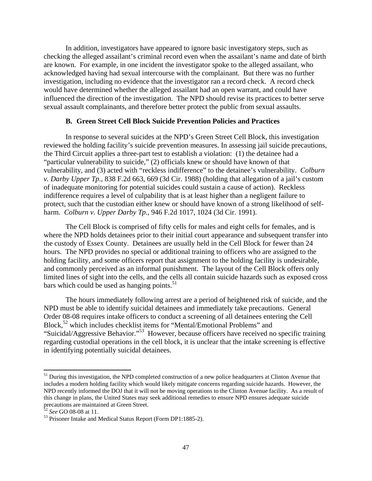<span id="page-49-0"></span>In addition, investigators have appeared to ignore basic investigatory steps, such as checking the alleged assailant's criminal record even when the assailant's name and date of birth are known. For example, in one incident the investigator spoke to the alleged assailant, who acknowledged having had sexual intercourse with the complainant. But there was no further investigation, including no evidence that the investigator ran a record check. A record check would have determined whether the alleged assailant had an open warrant, and could have influenced the direction of the investigation. The NPD should revise its practices to better serve sexual assault complainants, and therefore better protect the public from sexual assaults.

#### **B. Green Street Cell Block Suicide Prevention Policies and Practices**

In response to several suicides at the NPD's Green Street Cell Block, this investigation reviewed the holding facility's suicide prevention measures. In assessing jail suicide precautions, the Third Circuit applies a three-part test to establish a violation: (1) the detainee had a "particular vulnerability to suicide," (2) officials knew or should have known of that vulnerability, and (3) acted with "reckless indifference" to the detainee's vulnerability. *Colburn v. Darby Upper Tp.*, 838 F.2d 663, 669 (3d Cir. 1988) (holding that allegation of a jail's custom of inadequate monitoring for potential suicides could sustain a cause of action). Reckless indifference requires a level of culpability that is at least higher than a negligent failure to protect, such that the custodian either knew or should have known of a strong likelihood of selfharm. *Colburn v. Upper Darby Tp.*, 946 F.2d 1017, 1024 (3d Cir. 1991).

bars which could be used as hanging points. $51$ The Cell Block is comprised of fifty cells for males and eight cells for females, and is where the NPD holds detainees prior to their initial court appearance and subsequent transfer into the custody of Essex County. Detainees are usually held in the Cell Block for fewer than 24 hours. The NPD provides no special or additional training to officers who are assigned to the holding facility, and some officers report that assignment to the holding facility is undesirable, and commonly perceived as an informal punishment. The layout of the Cell Block offers only limited lines of sight into the cells, and the cells all contain suicide hazards such as exposed cross

The hours immediately following arrest are a period of heightened risk of suicide, and the NPD must be able to identify suicidal detainees and immediately take precautions. General Order 08-08 requires intake officers to conduct a screening of all detainees entering the Cell Block,52 which includes checklist items for "Mental/Emotional Problems" and "Suicidal/Aggressive Behavior."53 However, because officers have received no specific training regarding custodial operations in the cell block, it is unclear that the intake screening is effective in identifying potentially suicidal detainees.

 NPD recently informed the DOJ that it will not be moving operations to the Clinton Avenue facility. As a result of <sup>51</sup> During this investigation, the NPD completed construction of a new police headquarters at Clinton Avenue that includes a modern holding facility which would likely mitigate concerns regarding suicide hazards. However, the this change in plans, the United States may seek additional remedies to ensure NPD ensures adequate suicide precautions are maintained at Green Street.<br><sup>52</sup> See GO 08-08 at 11.

<sup>&</sup>lt;sup>53</sup> Prisoner Intake and Medical Status Report (Form DP1:1885-2).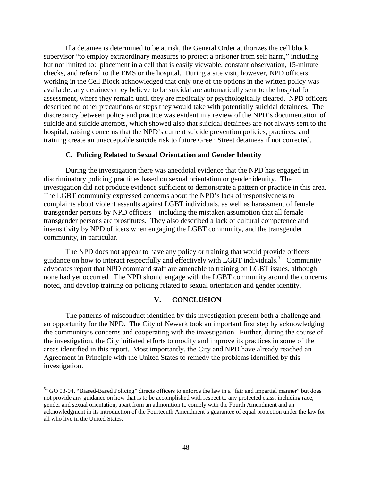<span id="page-50-0"></span>If a detainee is determined to be at risk, the General Order authorizes the cell block supervisor "to employ extraordinary measures to protect a prisoner from self harm," including but not limited to: placement in a cell that is easily viewable, constant observation, 15-minute checks, and referral to the EMS or the hospital. During a site visit, however, NPD officers working in the Cell Block acknowledged that only one of the options in the written policy was available: any detainees they believe to be suicidal are automatically sent to the hospital for assessment, where they remain until they are medically or psychologically cleared. NPD officers described no other precautions or steps they would take with potentially suicidal detainees. The discrepancy between policy and practice was evident in a review of the NPD's documentation of suicide and suicide attempts, which showed also that suicidal detainees are not always sent to the hospital, raising concerns that the NPD's current suicide prevention policies, practices, and training create an unacceptable suicide risk to future Green Street detainees if not corrected.

#### **C. Policing Related to Sexual Orientation and Gender Identity**

During the investigation there was anecdotal evidence that the NPD has engaged in discriminatory policing practices based on sexual orientation or gender identity. The investigation did not produce evidence sufficient to demonstrate a pattern or practice in this area. The LGBT community expressed concerns about the NPD's lack of responsiveness to complaints about violent assaults against LGBT individuals, as well as harassment of female transgender persons by NPD officers—including the mistaken assumption that all female transgender persons are prostitutes. They also described a lack of cultural competence and insensitivity by NPD officers when engaging the LGBT community, and the transgender community, in particular.

The NPD does not appear to have any policy or training that would provide officers guidance on how to interact respectfully and effectively with LGBT individuals.<sup>54</sup> Community advocates report that NPD command staff are amenable to training on LGBT issues, although none had yet occurred. The NPD should engage with the LGBT community around the concerns noted, and develop training on policing related to sexual orientation and gender identity.

## **V. CONCLUSION**

The patterns of misconduct identified by this investigation present both a challenge and an opportunity for the NPD. The City of Newark took an important first step by acknowledging the community's concerns and cooperating with the investigation. Further, during the course of the investigation, the City initiated efforts to modify and improve its practices in some of the areas identified in this report. Most importantly, the City and NPD have already reached an Agreement in Principle with the United States to remedy the problems identified by this investigation.

 all who live in the United States. <sup>54</sup> GO 03-04, "Biased-Based Policing" directs officers to enforce the law in a "fair and impartial manner" but does not provide any guidance on how that is to be accomplished with respect to any protected class, including race, gender and sexual orientation, apart from an admonition to comply with the Fourth Amendment and an acknowledgment in its introduction of the Fourteenth Amendment's guarantee of equal protection under the law for